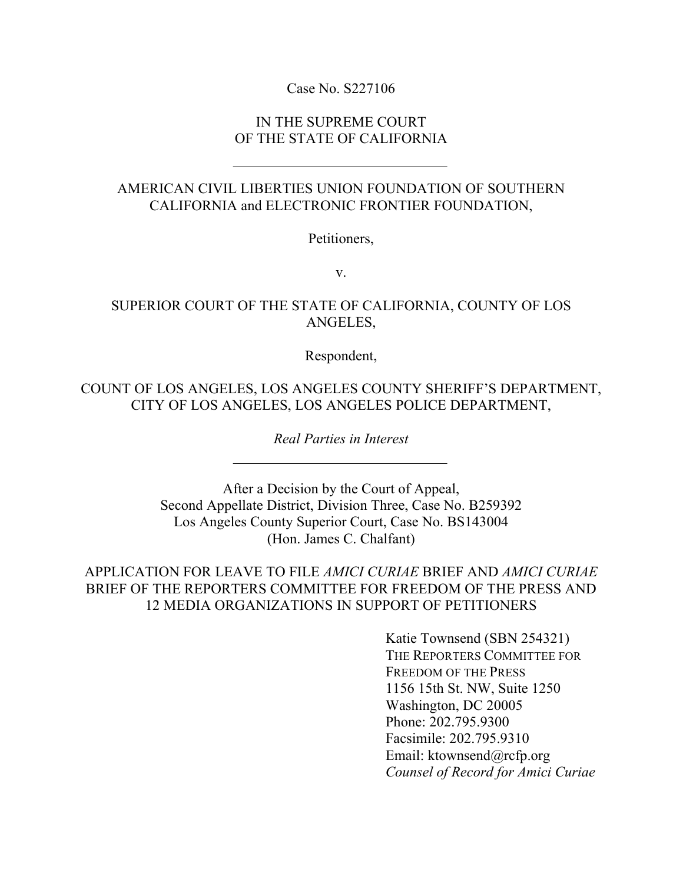## Case No. S227106

## IN THE SUPREME COURT OF THE STATE OF CALIFORNIA

# AMERICAN CIVIL LIBERTIES UNION FOUNDATION OF SOUTHERN CALIFORNIA and ELECTRONIC FRONTIER FOUNDATION,

Petitioners,

v.

# SUPERIOR COURT OF THE STATE OF CALIFORNIA, COUNTY OF LOS ANGELES,

Respondent,

COUNT OF LOS ANGELES, LOS ANGELES COUNTY SHERIFF'S DEPARTMENT, CITY OF LOS ANGELES, LOS ANGELES POLICE DEPARTMENT,

*Real Parties in Interest*

After a Decision by the Court of Appeal, Second Appellate District, Division Three, Case No. B259392 Los Angeles County Superior Court, Case No. BS143004 (Hon. James C. Chalfant)

APPLICATION FOR LEAVE TO FILE *AMICI CURIAE* BRIEF AND *AMICI CURIAE*  BRIEF OF THE REPORTERS COMMITTEE FOR FREEDOM OF THE PRESS AND 12 MEDIA ORGANIZATIONS IN SUPPORT OF PETITIONERS

> Katie Townsend (SBN 254321) THE REPORTERS COMMITTEE FOR FREEDOM OF THE PRESS 1156 15th St. NW, Suite 1250 Washington, DC 20005 Phone: 202.795.9300 Facsimile: 202.795.9310 Email: ktownsend@rcfp.org *Counsel of Record for Amici Curiae*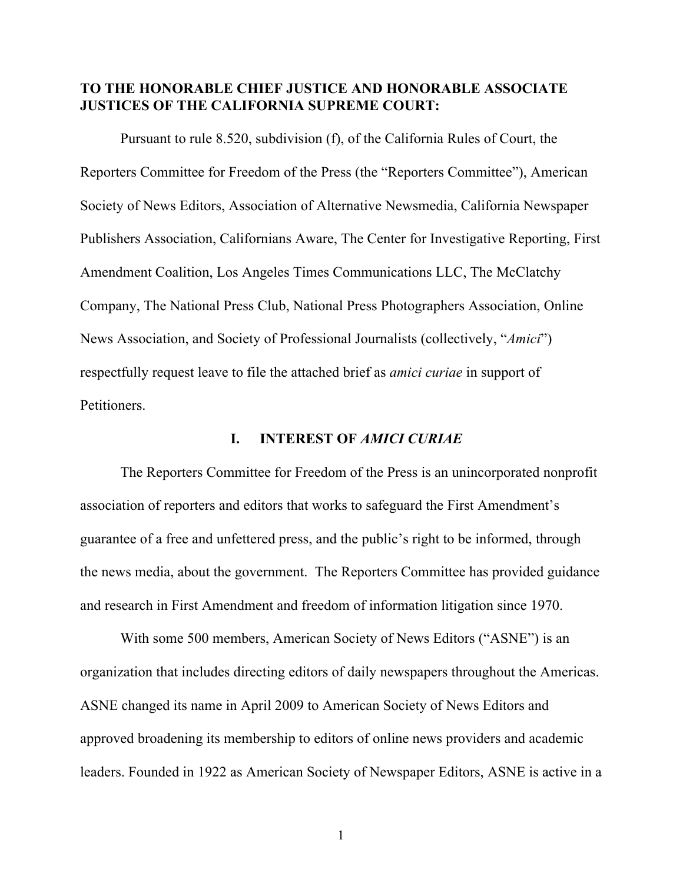## **TO THE HONORABLE CHIEF JUSTICE AND HONORABLE ASSOCIATE JUSTICES OF THE CALIFORNIA SUPREME COURT:**

Pursuant to rule 8.520, subdivision (f), of the California Rules of Court, the Reporters Committee for Freedom of the Press (the "Reporters Committee"), American Society of News Editors, Association of Alternative Newsmedia, California Newspaper Publishers Association, Californians Aware, The Center for Investigative Reporting, First Amendment Coalition, Los Angeles Times Communications LLC, The McClatchy Company, The National Press Club, National Press Photographers Association, Online News Association, and Society of Professional Journalists (collectively, "*Amici*") respectfully request leave to file the attached brief as *amici curiae* in support of Petitioners.

#### **I. INTEREST OF** *AMICI CURIAE*

The Reporters Committee for Freedom of the Press is an unincorporated nonprofit association of reporters and editors that works to safeguard the First Amendment's guarantee of a free and unfettered press, and the public's right to be informed, through the news media, about the government. The Reporters Committee has provided guidance and research in First Amendment and freedom of information litigation since 1970.

With some 500 members, American Society of News Editors ("ASNE") is an organization that includes directing editors of daily newspapers throughout the Americas. ASNE changed its name in April 2009 to American Society of News Editors and approved broadening its membership to editors of online news providers and academic leaders. Founded in 1922 as American Society of Newspaper Editors, ASNE is active in a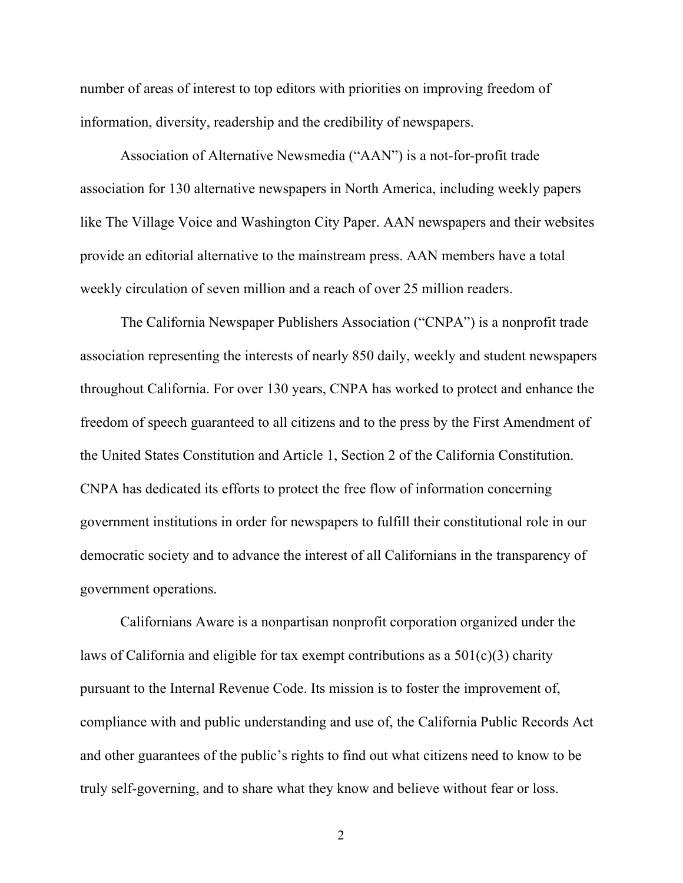number of areas of interest to top editors with priorities on improving freedom of information, diversity, readership and the credibility of newspapers.

Association of Alternative Newsmedia ("AAN") is a not-for-profit trade association for 130 alternative newspapers in North America, including weekly papers like The Village Voice and Washington City Paper. AAN newspapers and their websites provide an editorial alternative to the mainstream press. AAN members have a total weekly circulation of seven million and a reach of over 25 million readers.

The California Newspaper Publishers Association ("CNPA") is a nonprofit trade association representing the interests of nearly 850 daily, weekly and student newspapers throughout California. For over 130 years, CNPA has worked to protect and enhance the freedom of speech guaranteed to all citizens and to the press by the First Amendment of the United States Constitution and Article 1, Section 2 of the California Constitution. CNPA has dedicated its efforts to protect the free flow of information concerning government institutions in order for newspapers to fulfill their constitutional role in our democratic society and to advance the interest of all Californians in the transparency of government operations.

Californians Aware is a nonpartisan nonprofit corporation organized under the laws of California and eligible for tax exempt contributions as a 501(c)(3) charity pursuant to the Internal Revenue Code. Its mission is to foster the improvement of, compliance with and public understanding and use of, the California Public Records Act and other guarantees of the public's rights to find out what citizens need to know to be truly self-governing, and to share what they know and believe without fear or loss.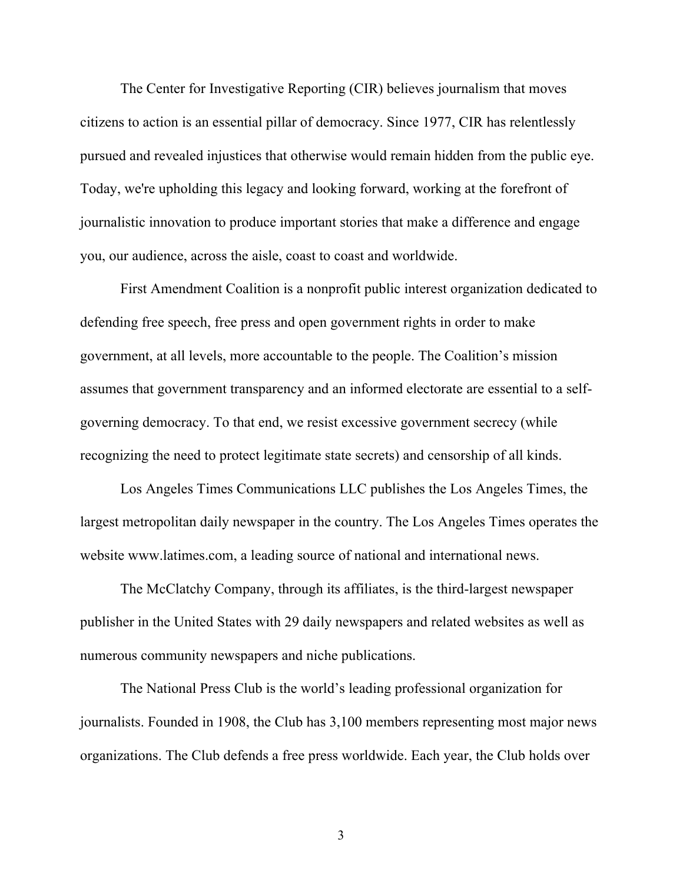The Center for Investigative Reporting (CIR) believes journalism that moves citizens to action is an essential pillar of democracy. Since 1977, CIR has relentlessly pursued and revealed injustices that otherwise would remain hidden from the public eye. Today, we're upholding this legacy and looking forward, working at the forefront of journalistic innovation to produce important stories that make a difference and engage you, our audience, across the aisle, coast to coast and worldwide.

First Amendment Coalition is a nonprofit public interest organization dedicated to defending free speech, free press and open government rights in order to make government, at all levels, more accountable to the people. The Coalition's mission assumes that government transparency and an informed electorate are essential to a selfgoverning democracy. To that end, we resist excessive government secrecy (while recognizing the need to protect legitimate state secrets) and censorship of all kinds.

Los Angeles Times Communications LLC publishes the Los Angeles Times, the largest metropolitan daily newspaper in the country. The Los Angeles Times operates the website www.latimes.com, a leading source of national and international news.

The McClatchy Company, through its affiliates, is the third-largest newspaper publisher in the United States with 29 daily newspapers and related websites as well as numerous community newspapers and niche publications.

The National Press Club is the world's leading professional organization for journalists. Founded in 1908, the Club has 3,100 members representing most major news organizations. The Club defends a free press worldwide. Each year, the Club holds over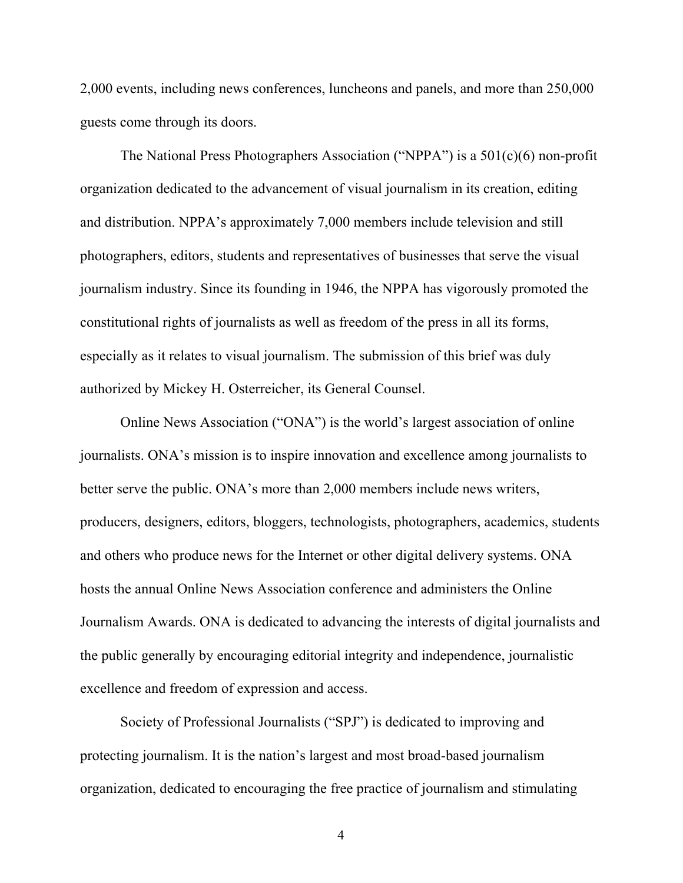2,000 events, including news conferences, luncheons and panels, and more than 250,000 guests come through its doors.

The National Press Photographers Association ("NPPA") is a 501(c)(6) non-profit organization dedicated to the advancement of visual journalism in its creation, editing and distribution. NPPA's approximately 7,000 members include television and still photographers, editors, students and representatives of businesses that serve the visual journalism industry. Since its founding in 1946, the NPPA has vigorously promoted the constitutional rights of journalists as well as freedom of the press in all its forms, especially as it relates to visual journalism. The submission of this brief was duly authorized by Mickey H. Osterreicher, its General Counsel.

Online News Association ("ONA") is the world's largest association of online journalists. ONA's mission is to inspire innovation and excellence among journalists to better serve the public. ONA's more than 2,000 members include news writers, producers, designers, editors, bloggers, technologists, photographers, academics, students and others who produce news for the Internet or other digital delivery systems. ONA hosts the annual Online News Association conference and administers the Online Journalism Awards. ONA is dedicated to advancing the interests of digital journalists and the public generally by encouraging editorial integrity and independence, journalistic excellence and freedom of expression and access.

Society of Professional Journalists ("SPJ") is dedicated to improving and protecting journalism. It is the nation's largest and most broad-based journalism organization, dedicated to encouraging the free practice of journalism and stimulating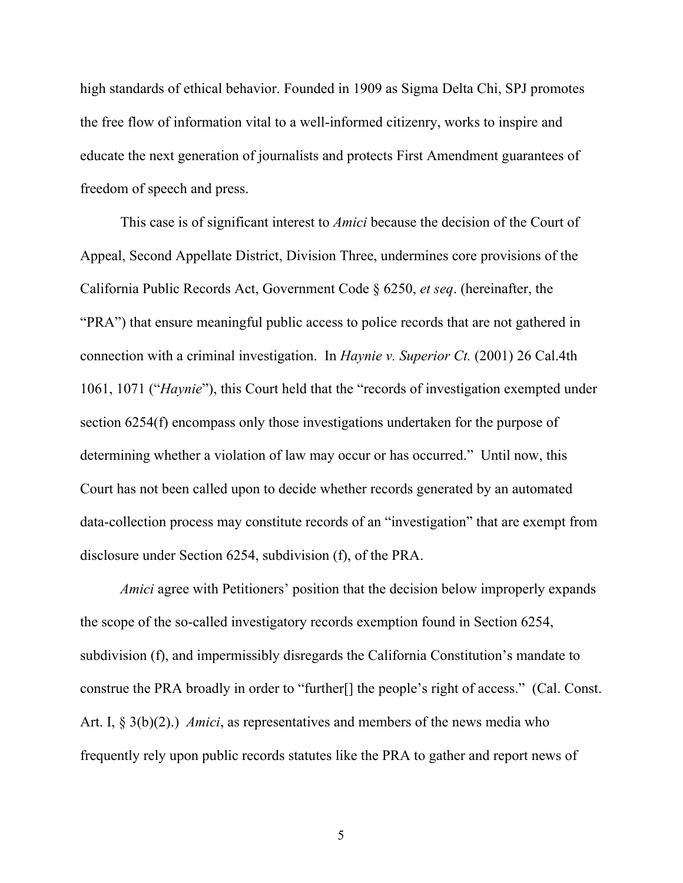high standards of ethical behavior. Founded in 1909 as Sigma Delta Chi, SPJ promotes the free flow of information vital to a well-informed citizenry, works to inspire and educate the next generation of journalists and protects First Amendment guarantees of freedom of speech and press.

This case is of significant interest to *Amici* because the decision of the Court of Appeal, Second Appellate District, Division Three, undermines core provisions of the California Public Records Act, Government Code § 6250, *et seq*. (hereinafter, the "PRA") that ensure meaningful public access to police records that are not gathered in connection with a criminal investigation. In *Haynie v. Superior Ct.* (2001) 26 Cal.4th 1061, 1071 ("*Haynie*"), this Court held that the "records of investigation exempted under section 6254(f) encompass only those investigations undertaken for the purpose of determining whether a violation of law may occur or has occurred." Until now, this Court has not been called upon to decide whether records generated by an automated data-collection process may constitute records of an "investigation" that are exempt from disclosure under Section 6254, subdivision (f), of the PRA.

*Amici* agree with Petitioners' position that the decision below improperly expands the scope of the so-called investigatory records exemption found in Section 6254, subdivision (f), and impermissibly disregards the California Constitution's mandate to construe the PRA broadly in order to "further[] the people's right of access." (Cal. Const. Art. I, § 3(b)(2).) *Amici*, as representatives and members of the news media who frequently rely upon public records statutes like the PRA to gather and report news of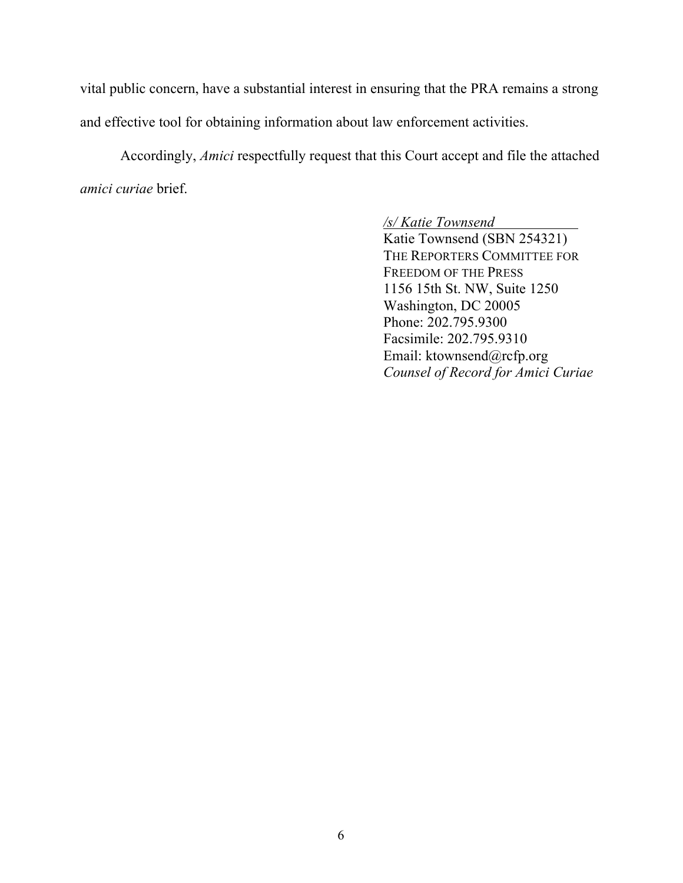vital public concern, have a substantial interest in ensuring that the PRA remains a strong and effective tool for obtaining information about law enforcement activities.

Accordingly, *Amici* respectfully request that this Court accept and file the attached *amici curiae* brief.

# /s/ Katie Townsend

Katie Townsend (SBN 254321) THE REPORTERS COMMITTEE FOR FREEDOM OF THE PRESS 1156 15th St. NW, Suite 1250 Washington, DC 20005 Phone: 202.795.9300 Facsimile: 202.795.9310 Email: ktownsend@rcfp.org *Counsel of Record for Amici Curiae*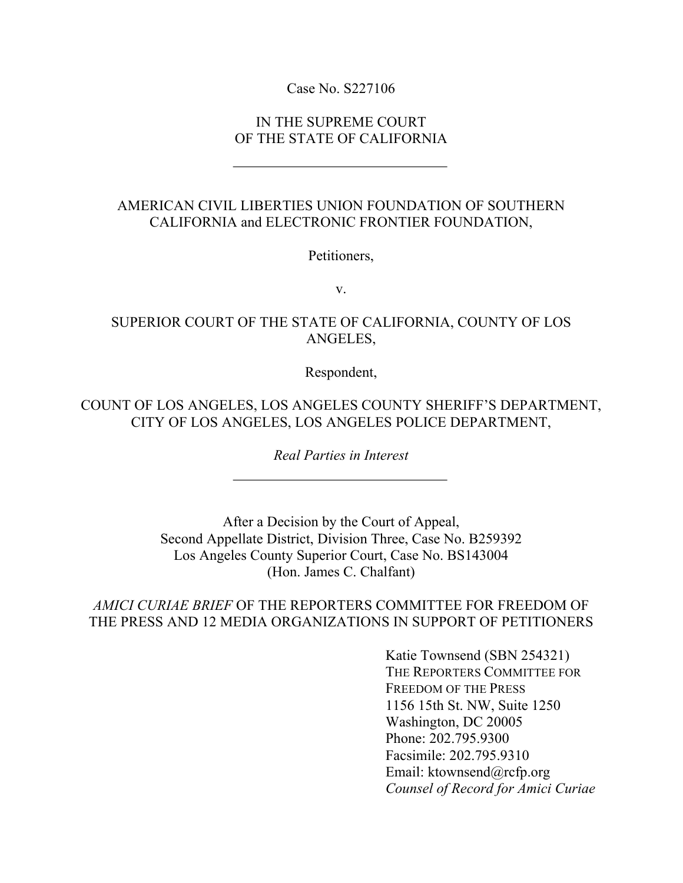## Case No. S227106

## IN THE SUPREME COURT OF THE STATE OF CALIFORNIA

# AMERICAN CIVIL LIBERTIES UNION FOUNDATION OF SOUTHERN CALIFORNIA and ELECTRONIC FRONTIER FOUNDATION,

Petitioners,

v.

# SUPERIOR COURT OF THE STATE OF CALIFORNIA, COUNTY OF LOS ANGELES,

Respondent,

COUNT OF LOS ANGELES, LOS ANGELES COUNTY SHERIFF'S DEPARTMENT, CITY OF LOS ANGELES, LOS ANGELES POLICE DEPARTMENT,

*Real Parties in Interest*

After a Decision by the Court of Appeal, Second Appellate District, Division Three, Case No. B259392 Los Angeles County Superior Court, Case No. BS143004 (Hon. James C. Chalfant)

# *AMICI CURIAE BRIEF* OF THE REPORTERS COMMITTEE FOR FREEDOM OF THE PRESS AND 12 MEDIA ORGANIZATIONS IN SUPPORT OF PETITIONERS

Katie Townsend (SBN 254321) THE REPORTERS COMMITTEE FOR FREEDOM OF THE PRESS 1156 15th St. NW, Suite 1250 Washington, DC 20005 Phone: 202.795.9300 Facsimile: 202.795.9310 Email: ktownsend@rcfp.org *Counsel of Record for Amici Curiae*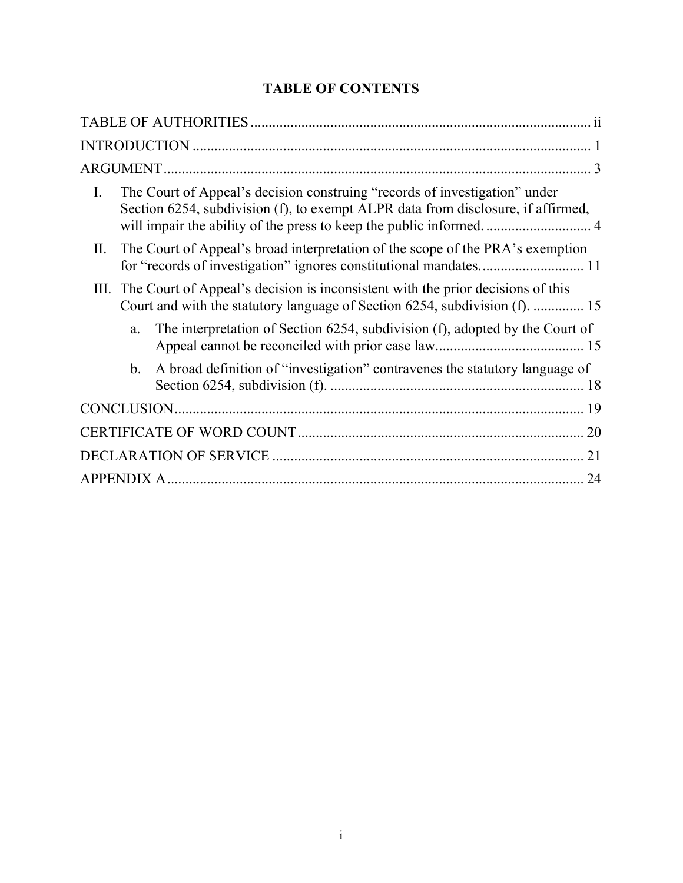# **TABLE OF CONTENTS**

| The Court of Appeal's decision construing "records of investigation" under<br>$\mathbf{I}$ .<br>Section 6254, subdivision (f), to exempt ALPR data from disclosure, if affirmed, |
|----------------------------------------------------------------------------------------------------------------------------------------------------------------------------------|
| The Court of Appeal's broad interpretation of the scope of the PRA's exemption<br>II.                                                                                            |
| III. The Court of Appeal's decision is inconsistent with the prior decisions of this<br>Court and with the statutory language of Section 6254, subdivision (f).  15              |
| The interpretation of Section 6254, subdivision (f), adopted by the Court of<br>a.                                                                                               |
| A broad definition of "investigation" contravenes the statutory language of<br>$b$ .                                                                                             |
|                                                                                                                                                                                  |
|                                                                                                                                                                                  |
| 21                                                                                                                                                                               |
| 24                                                                                                                                                                               |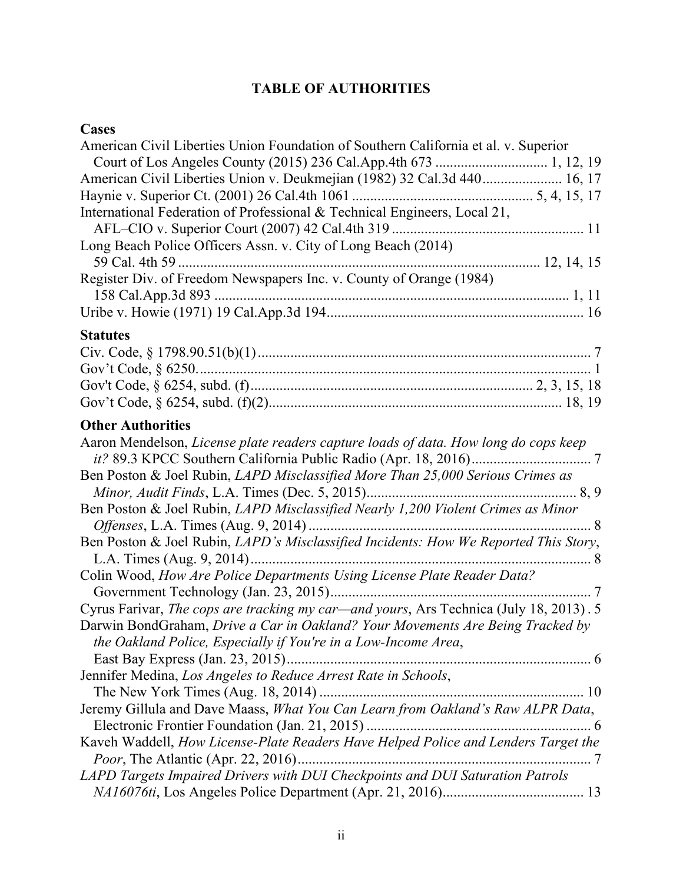# **TABLE OF AUTHORITIES**

# **Cases**

| American Civil Liberties Union Foundation of Southern California et al. v. Superior                                                                                                                                                        |  |
|--------------------------------------------------------------------------------------------------------------------------------------------------------------------------------------------------------------------------------------------|--|
|                                                                                                                                                                                                                                            |  |
| American Civil Liberties Union v. Deukmejian (1982) 32 Cal.3d 440 16, 17                                                                                                                                                                   |  |
|                                                                                                                                                                                                                                            |  |
| International Federation of Professional & Technical Engineers, Local 21,                                                                                                                                                                  |  |
| Long Beach Police Officers Assn. v. City of Long Beach (2014)                                                                                                                                                                              |  |
|                                                                                                                                                                                                                                            |  |
| Register Div. of Freedom Newspapers Inc. v. County of Orange (1984)                                                                                                                                                                        |  |
|                                                                                                                                                                                                                                            |  |
|                                                                                                                                                                                                                                            |  |
| <b>Statutes</b>                                                                                                                                                                                                                            |  |
|                                                                                                                                                                                                                                            |  |
|                                                                                                                                                                                                                                            |  |
|                                                                                                                                                                                                                                            |  |
|                                                                                                                                                                                                                                            |  |
| <b>Other Authorities</b>                                                                                                                                                                                                                   |  |
| Aaron Mendelson, License plate readers capture loads of data. How long do cops keep                                                                                                                                                        |  |
| Ben Poston & Joel Rubin, LAPD Misclassified More Than 25,000 Serious Crimes as                                                                                                                                                             |  |
|                                                                                                                                                                                                                                            |  |
| Ben Poston & Joel Rubin, LAPD Misclassified Nearly 1,200 Violent Crimes as Minor                                                                                                                                                           |  |
|                                                                                                                                                                                                                                            |  |
| Ben Poston & Joel Rubin, LAPD's Misclassified Incidents: How We Reported This Story,                                                                                                                                                       |  |
| Colin Wood, How Are Police Departments Using License Plate Reader Data?                                                                                                                                                                    |  |
|                                                                                                                                                                                                                                            |  |
| Cyrus Farivar, The cops are tracking my car—and yours, Ars Technica (July 18, 2013). 5<br>Darwin BondGraham, Drive a Car in Oakland? Your Movements Are Being Tracked by<br>the Oakland Police, Especially if You're in a Low-Income Area, |  |
|                                                                                                                                                                                                                                            |  |
| Jennifer Medina, Los Angeles to Reduce Arrest Rate in Schools,                                                                                                                                                                             |  |
|                                                                                                                                                                                                                                            |  |
| Jeremy Gillula and Dave Maass, What You Can Learn from Oakland's Raw ALPR Data,                                                                                                                                                            |  |
|                                                                                                                                                                                                                                            |  |
| Kaveh Waddell, How License-Plate Readers Have Helped Police and Lenders Target the                                                                                                                                                         |  |
|                                                                                                                                                                                                                                            |  |
| LAPD Targets Impaired Drivers with DUI Checkpoints and DUI Saturation Patrols                                                                                                                                                              |  |
|                                                                                                                                                                                                                                            |  |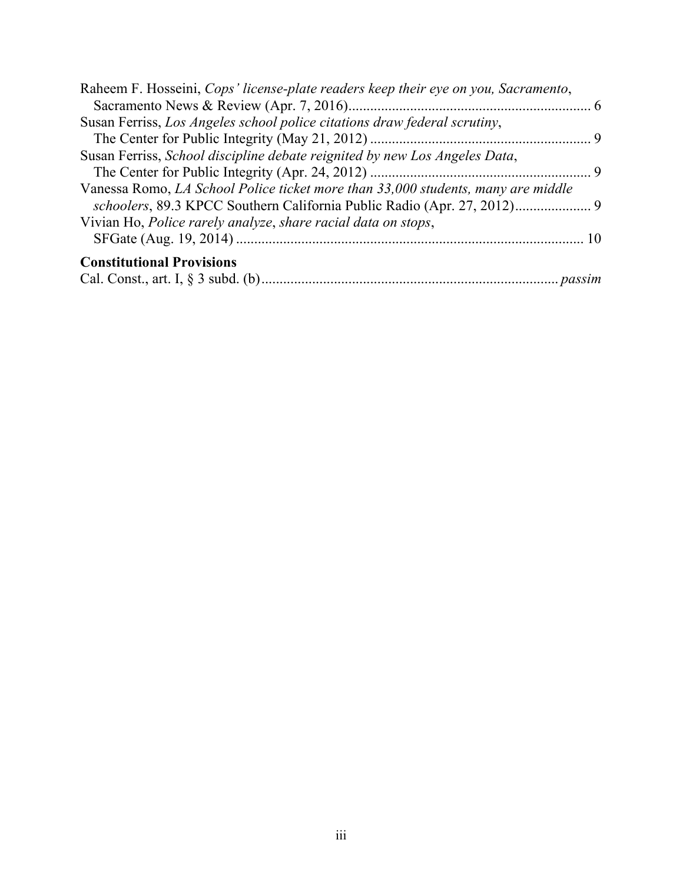| Raheem F. Hosseini, Cops' license-plate readers keep their eye on you, Sacramento, |  |
|------------------------------------------------------------------------------------|--|
|                                                                                    |  |
| Susan Ferriss, Los Angeles school police citations draw federal scrutiny,          |  |
|                                                                                    |  |
| Susan Ferriss, School discipline debate reignited by new Los Angeles Data,         |  |
|                                                                                    |  |
| Vanessa Romo, LA School Police ticket more than 33,000 students, many are middle   |  |
|                                                                                    |  |
| Vivian Ho, Police rarely analyze, share racial data on stops,                      |  |
|                                                                                    |  |
| <b>Constitutional Provisions</b>                                                   |  |
|                                                                                    |  |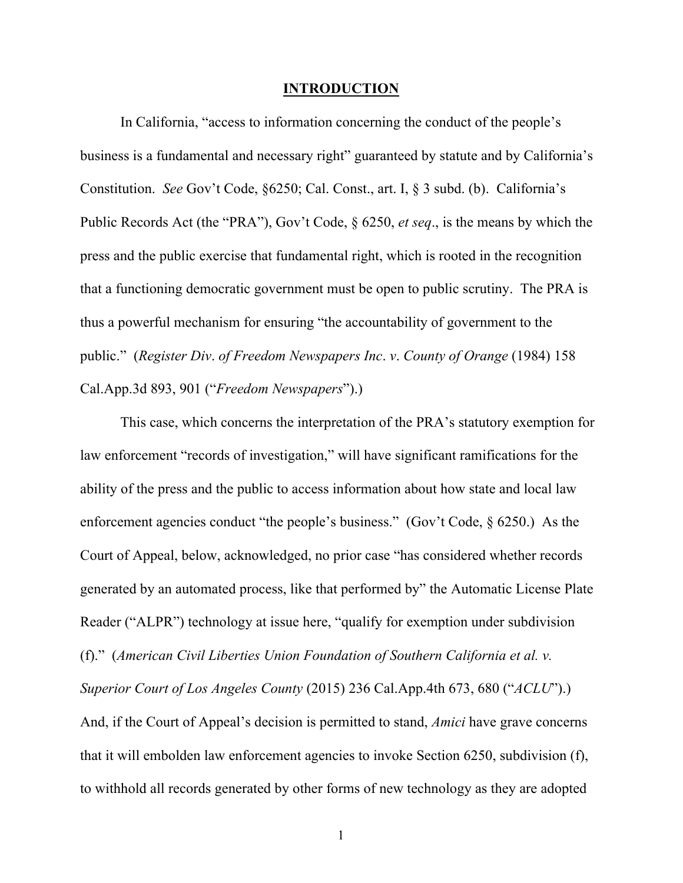#### **INTRODUCTION**

In California, "access to information concerning the conduct of the people's business is a fundamental and necessary right" guaranteed by statute and by California's Constitution. *See* Gov't Code, §6250; Cal. Const., art. I, § 3 subd. (b). California's Public Records Act (the "PRA"), Gov't Code, § 6250, *et seq*., is the means by which the press and the public exercise that fundamental right, which is rooted in the recognition that a functioning democratic government must be open to public scrutiny. The PRA is thus a powerful mechanism for ensuring "the accountability of government to the public." (*Register Div*. *of Freedom Newspapers Inc*. *v*. *County of Orange* (1984) 158 Cal.App.3d 893, 901 ("*Freedom Newspapers*").)

This case, which concerns the interpretation of the PRA's statutory exemption for law enforcement "records of investigation," will have significant ramifications for the ability of the press and the public to access information about how state and local law enforcement agencies conduct "the people's business." (Gov't Code, § 6250.) As the Court of Appeal, below, acknowledged, no prior case "has considered whether records generated by an automated process, like that performed by" the Automatic License Plate Reader ("ALPR") technology at issue here, "qualify for exemption under subdivision (f)." (*American Civil Liberties Union Foundation of Southern California et al. v. Superior Court of Los Angeles County* (2015) 236 Cal.App.4th 673, 680 ("*ACLU*").) And, if the Court of Appeal's decision is permitted to stand, *Amici* have grave concerns that it will embolden law enforcement agencies to invoke Section 6250, subdivision (f), to withhold all records generated by other forms of new technology as they are adopted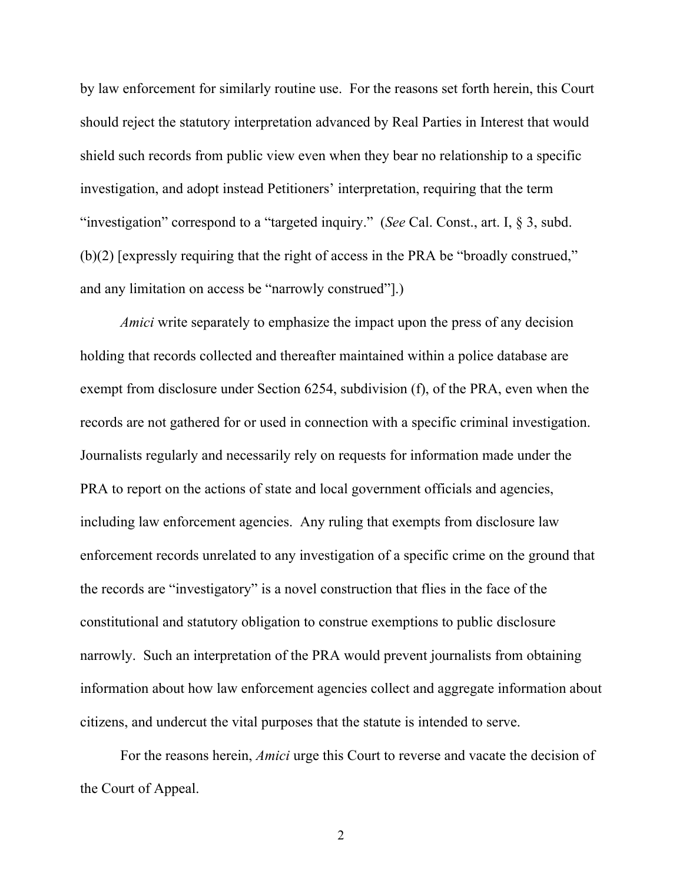by law enforcement for similarly routine use. For the reasons set forth herein, this Court should reject the statutory interpretation advanced by Real Parties in Interest that would shield such records from public view even when they bear no relationship to a specific investigation, and adopt instead Petitioners' interpretation, requiring that the term "investigation" correspond to a "targeted inquiry." (*See* Cal. Const., art. I, § 3, subd. (b)(2) [expressly requiring that the right of access in the PRA be "broadly construed," and any limitation on access be "narrowly construed"].)

*Amici* write separately to emphasize the impact upon the press of any decision holding that records collected and thereafter maintained within a police database are exempt from disclosure under Section 6254, subdivision (f), of the PRA, even when the records are not gathered for or used in connection with a specific criminal investigation. Journalists regularly and necessarily rely on requests for information made under the PRA to report on the actions of state and local government officials and agencies, including law enforcement agencies. Any ruling that exempts from disclosure law enforcement records unrelated to any investigation of a specific crime on the ground that the records are "investigatory" is a novel construction that flies in the face of the constitutional and statutory obligation to construe exemptions to public disclosure narrowly. Such an interpretation of the PRA would prevent journalists from obtaining information about how law enforcement agencies collect and aggregate information about citizens, and undercut the vital purposes that the statute is intended to serve.

For the reasons herein, *Amici* urge this Court to reverse and vacate the decision of the Court of Appeal.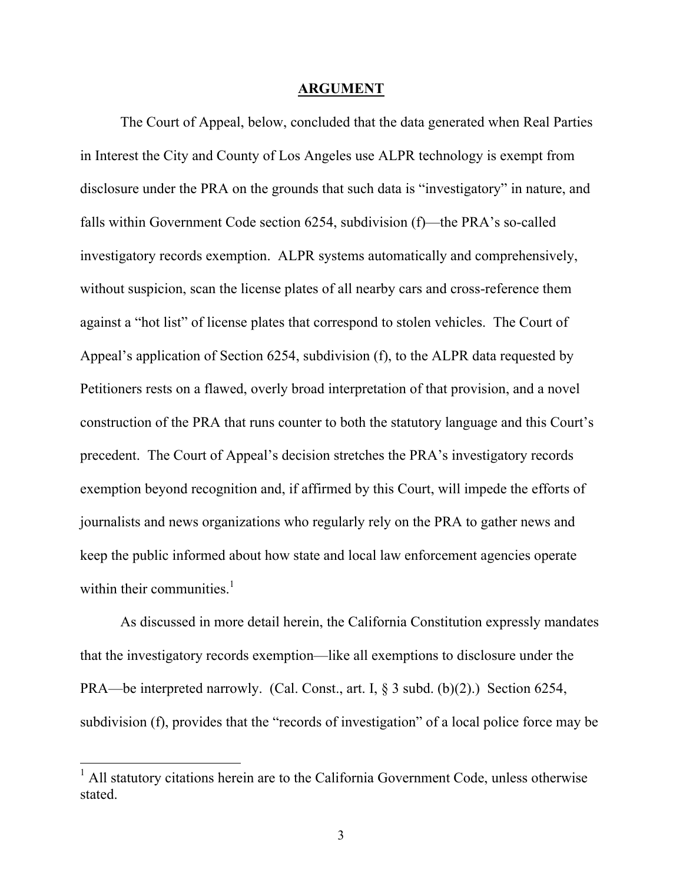#### **ARGUMENT**

The Court of Appeal, below, concluded that the data generated when Real Parties in Interest the City and County of Los Angeles use ALPR technology is exempt from disclosure under the PRA on the grounds that such data is "investigatory" in nature, and falls within Government Code section 6254, subdivision (f)—the PRA's so-called investigatory records exemption. ALPR systems automatically and comprehensively, without suspicion, scan the license plates of all nearby cars and cross-reference them against a "hot list" of license plates that correspond to stolen vehicles. The Court of Appeal's application of Section 6254, subdivision (f), to the ALPR data requested by Petitioners rests on a flawed, overly broad interpretation of that provision, and a novel construction of the PRA that runs counter to both the statutory language and this Court's precedent. The Court of Appeal's decision stretches the PRA's investigatory records exemption beyond recognition and, if affirmed by this Court, will impede the efforts of journalists and news organizations who regularly rely on the PRA to gather news and keep the public informed about how state and local law enforcement agencies operate within their communities. $<sup>1</sup>$ </sup>

As discussed in more detail herein, the California Constitution expressly mandates that the investigatory records exemption—like all exemptions to disclosure under the PRA—be interpreted narrowly. (Cal. Const., art. I, § 3 subd. (b)(2).) Section 6254, subdivision (f), provides that the "records of investigation" of a local police force may be

 $<sup>1</sup>$  All statutory citations herein are to the California Government Code, unless otherwise</sup> stated.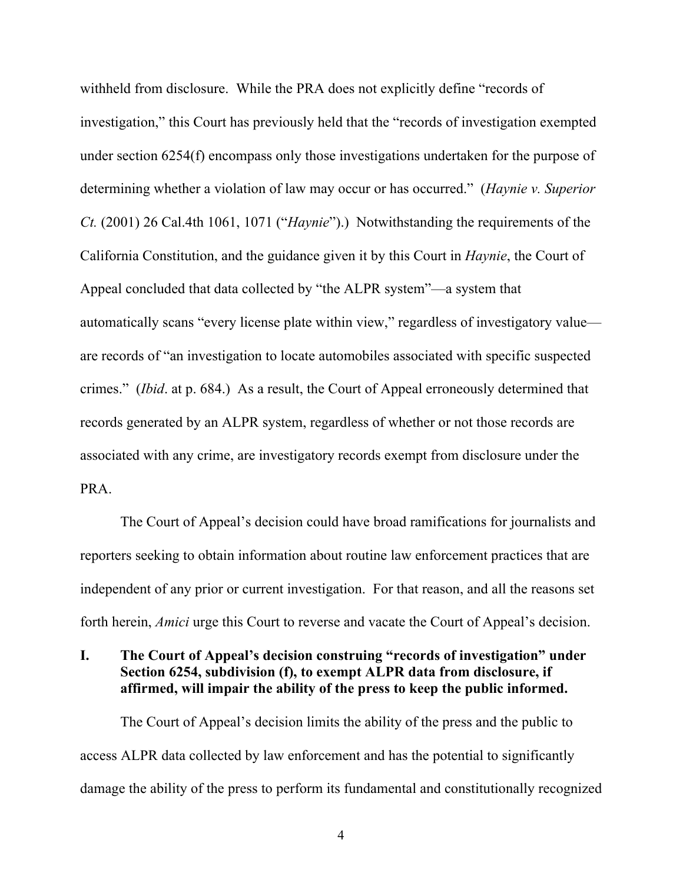withheld from disclosure. While the PRA does not explicitly define "records of investigation," this Court has previously held that the "records of investigation exempted under section 6254(f) encompass only those investigations undertaken for the purpose of determining whether a violation of law may occur or has occurred." (*Haynie v. Superior Ct.* (2001) 26 Cal.4th 1061, 1071 ("*Haynie*").) Notwithstanding the requirements of the California Constitution, and the guidance given it by this Court in *Haynie*, the Court of Appeal concluded that data collected by "the ALPR system"—a system that automatically scans "every license plate within view," regardless of investigatory value are records of "an investigation to locate automobiles associated with specific suspected crimes." (*Ibid*. at p. 684.) As a result, the Court of Appeal erroneously determined that records generated by an ALPR system, regardless of whether or not those records are associated with any crime, are investigatory records exempt from disclosure under the PRA.

The Court of Appeal's decision could have broad ramifications for journalists and reporters seeking to obtain information about routine law enforcement practices that are independent of any prior or current investigation. For that reason, and all the reasons set forth herein, *Amici* urge this Court to reverse and vacate the Court of Appeal's decision.

## **I. The Court of Appeal's decision construing "records of investigation" under Section 6254, subdivision (f), to exempt ALPR data from disclosure, if affirmed, will impair the ability of the press to keep the public informed.**

The Court of Appeal's decision limits the ability of the press and the public to access ALPR data collected by law enforcement and has the potential to significantly damage the ability of the press to perform its fundamental and constitutionally recognized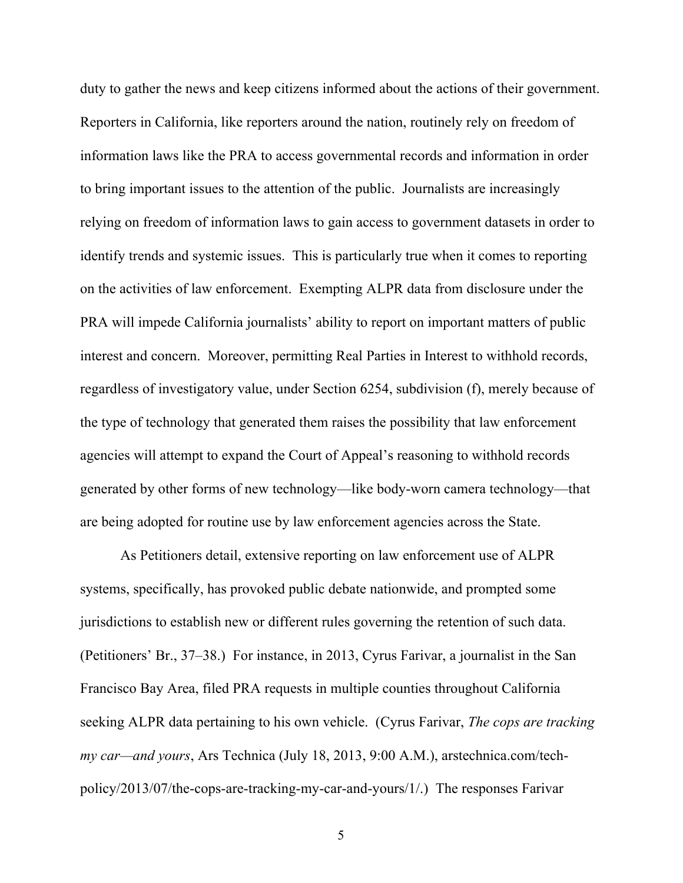duty to gather the news and keep citizens informed about the actions of their government. Reporters in California, like reporters around the nation, routinely rely on freedom of information laws like the PRA to access governmental records and information in order to bring important issues to the attention of the public. Journalists are increasingly relying on freedom of information laws to gain access to government datasets in order to identify trends and systemic issues. This is particularly true when it comes to reporting on the activities of law enforcement. Exempting ALPR data from disclosure under the PRA will impede California journalists' ability to report on important matters of public interest and concern. Moreover, permitting Real Parties in Interest to withhold records, regardless of investigatory value, under Section 6254, subdivision (f), merely because of the type of technology that generated them raises the possibility that law enforcement agencies will attempt to expand the Court of Appeal's reasoning to withhold records generated by other forms of new technology—like body-worn camera technology—that are being adopted for routine use by law enforcement agencies across the State.

As Petitioners detail, extensive reporting on law enforcement use of ALPR systems, specifically, has provoked public debate nationwide, and prompted some jurisdictions to establish new or different rules governing the retention of such data. (Petitioners' Br., 37–38.) For instance, in 2013, Cyrus Farivar, a journalist in the San Francisco Bay Area, filed PRA requests in multiple counties throughout California seeking ALPR data pertaining to his own vehicle. (Cyrus Farivar, *The cops are tracking my car—and yours*, Ars Technica (July 18, 2013, 9:00 A.M.), arstechnica.com/techpolicy/2013/07/the-cops-are-tracking-my-car-and-yours/1/.) The responses Farivar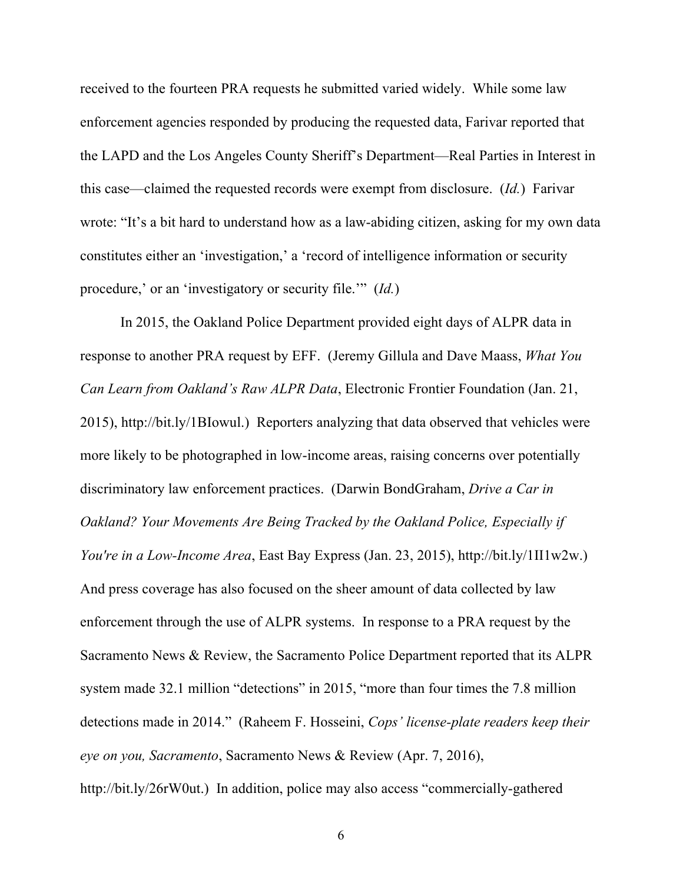received to the fourteen PRA requests he submitted varied widely. While some law enforcement agencies responded by producing the requested data, Farivar reported that the LAPD and the Los Angeles County Sheriff's Department—Real Parties in Interest in this case—claimed the requested records were exempt from disclosure. (*Id.*) Farivar wrote: "It's a bit hard to understand how as a law-abiding citizen, asking for my own data constitutes either an 'investigation,' a 'record of intelligence information or security procedure,' or an 'investigatory or security file.'" (*Id.*)

In 2015, the Oakland Police Department provided eight days of ALPR data in response to another PRA request by EFF. (Jeremy Gillula and Dave Maass, *What You Can Learn from Oakland's Raw ALPR Data*, Electronic Frontier Foundation (Jan. 21, 2015), http://bit.ly/1BIowul.) Reporters analyzing that data observed that vehicles were more likely to be photographed in low-income areas, raising concerns over potentially discriminatory law enforcement practices. (Darwin BondGraham, *Drive a Car in Oakland? Your Movements Are Being Tracked by the Oakland Police, Especially if You're in a Low-Income Area*, East Bay Express (Jan. 23, 2015), http://bit.ly/1II1w2w.) And press coverage has also focused on the sheer amount of data collected by law enforcement through the use of ALPR systems. In response to a PRA request by the Sacramento News & Review, the Sacramento Police Department reported that its ALPR system made 32.1 million "detections" in 2015, "more than four times the 7.8 million detections made in 2014." (Raheem F. Hosseini, *Cops' license-plate readers keep their eye on you, Sacramento*, Sacramento News & Review (Apr. 7, 2016), http://bit.ly/26rW0ut.) In addition, police may also access "commercially-gathered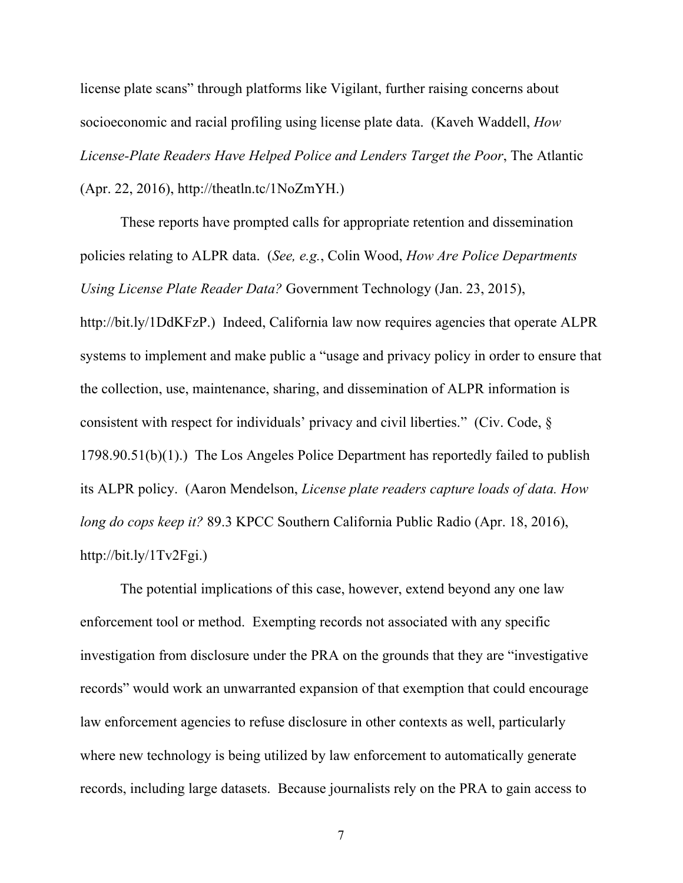license plate scans" through platforms like Vigilant, further raising concerns about socioeconomic and racial profiling using license plate data. (Kaveh Waddell, *How License-Plate Readers Have Helped Police and Lenders Target the Poor*, The Atlantic (Apr. 22, 2016), http://theatln.tc/1NoZmYH.)

These reports have prompted calls for appropriate retention and dissemination policies relating to ALPR data. (*See, e.g.*, Colin Wood, *How Are Police Departments Using License Plate Reader Data?* Government Technology (Jan. 23, 2015), http://bit.ly/1DdKFzP.) Indeed, California law now requires agencies that operate ALPR systems to implement and make public a "usage and privacy policy in order to ensure that the collection, use, maintenance, sharing, and dissemination of ALPR information is consistent with respect for individuals' privacy and civil liberties." (Civ. Code, § 1798.90.51(b)(1).) The Los Angeles Police Department has reportedly failed to publish its ALPR policy. (Aaron Mendelson, *License plate readers capture loads of data. How long do cops keep it?* 89.3 KPCC Southern California Public Radio (Apr. 18, 2016), http://bit.ly/1Tv2Fgi.)

The potential implications of this case, however, extend beyond any one law enforcement tool or method. Exempting records not associated with any specific investigation from disclosure under the PRA on the grounds that they are "investigative records" would work an unwarranted expansion of that exemption that could encourage law enforcement agencies to refuse disclosure in other contexts as well, particularly where new technology is being utilized by law enforcement to automatically generate records, including large datasets. Because journalists rely on the PRA to gain access to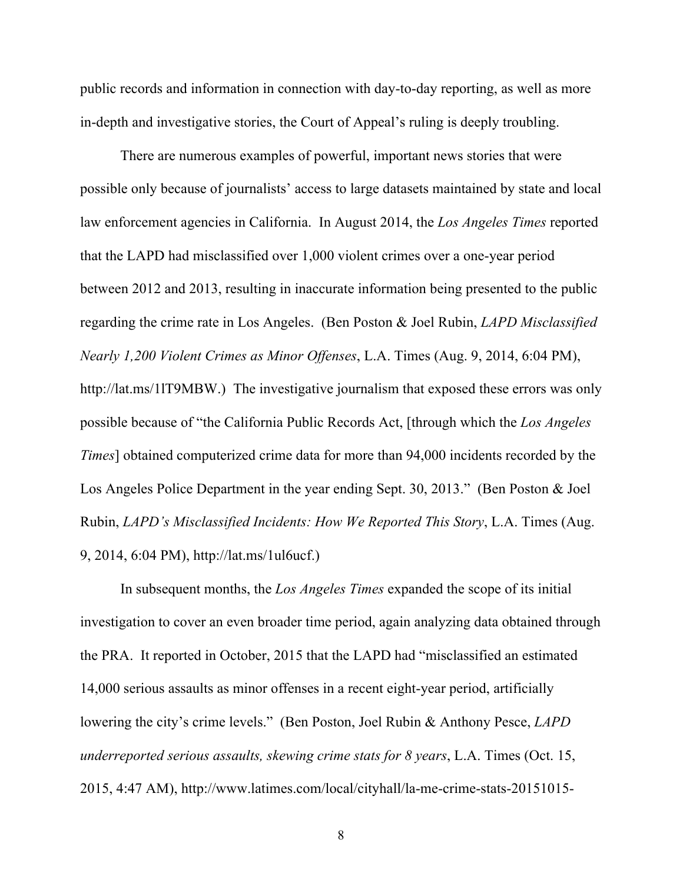public records and information in connection with day-to-day reporting, as well as more in-depth and investigative stories, the Court of Appeal's ruling is deeply troubling.

There are numerous examples of powerful, important news stories that were possible only because of journalists' access to large datasets maintained by state and local law enforcement agencies in California. In August 2014, the *Los Angeles Times* reported that the LAPD had misclassified over 1,000 violent crimes over a one-year period between 2012 and 2013, resulting in inaccurate information being presented to the public regarding the crime rate in Los Angeles. (Ben Poston & Joel Rubin, *LAPD Misclassified Nearly 1,200 Violent Crimes as Minor Offenses*, L.A. Times (Aug. 9, 2014, 6:04 PM), http://lat.ms/1lT9MBW.) The investigative journalism that exposed these errors was only possible because of "the California Public Records Act, [through which the *Los Angeles Times*] obtained computerized crime data for more than 94,000 incidents recorded by the Los Angeles Police Department in the year ending Sept. 30, 2013." (Ben Poston & Joel Rubin, *LAPD's Misclassified Incidents: How We Reported This Story*, L.A. Times (Aug. 9, 2014, 6:04 PM), http://lat.ms/1ul6ucf.)

In subsequent months, the *Los Angeles Times* expanded the scope of its initial investigation to cover an even broader time period, again analyzing data obtained through the PRA. It reported in October, 2015 that the LAPD had "misclassified an estimated 14,000 serious assaults as minor offenses in a recent eight-year period, artificially lowering the city's crime levels." (Ben Poston, Joel Rubin & Anthony Pesce, *LAPD underreported serious assaults, skewing crime stats for 8 years*, L.A. Times (Oct. 15, 2015, 4:47 AM), http://www.latimes.com/local/cityhall/la-me-crime-stats-20151015-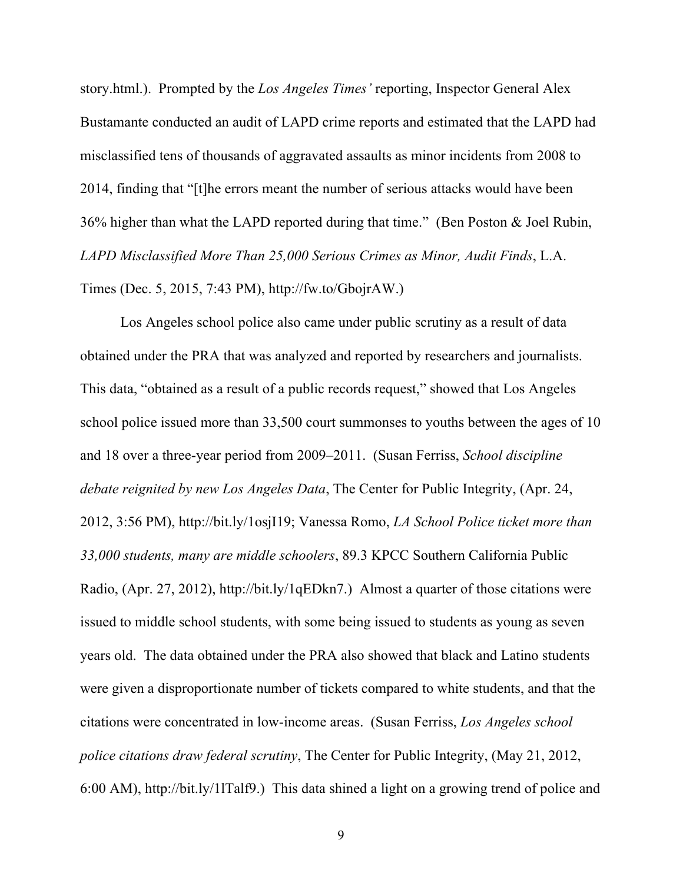story.html.). Prompted by the *Los Angeles Times'* reporting, Inspector General Alex Bustamante conducted an audit of LAPD crime reports and estimated that the LAPD had misclassified tens of thousands of aggravated assaults as minor incidents from 2008 to 2014, finding that "[t]he errors meant the number of serious attacks would have been 36% higher than what the LAPD reported during that time." (Ben Poston & Joel Rubin, *LAPD Misclassified More Than 25,000 Serious Crimes as Minor, Audit Finds*, L.A. Times (Dec. 5, 2015, 7:43 PM), http://fw.to/GbojrAW.)

Los Angeles school police also came under public scrutiny as a result of data obtained under the PRA that was analyzed and reported by researchers and journalists. This data, "obtained as a result of a public records request," showed that Los Angeles school police issued more than 33,500 court summonses to youths between the ages of 10 and 18 over a three-year period from 2009–2011. (Susan Ferriss, *School discipline debate reignited by new Los Angeles Data*, The Center for Public Integrity, (Apr. 24, 2012, 3:56 PM), http://bit.ly/1osjI19; Vanessa Romo, *LA School Police ticket more than 33,000 students, many are middle schoolers*, 89.3 KPCC Southern California Public Radio, (Apr. 27, 2012), http://bit.ly/1qEDkn7.) Almost a quarter of those citations were issued to middle school students, with some being issued to students as young as seven years old. The data obtained under the PRA also showed that black and Latino students were given a disproportionate number of tickets compared to white students, and that the citations were concentrated in low-income areas. (Susan Ferriss, *Los Angeles school police citations draw federal scrutiny*, The Center for Public Integrity, (May 21, 2012, 6:00 AM), http://bit.ly/1lTalf9.) This data shined a light on a growing trend of police and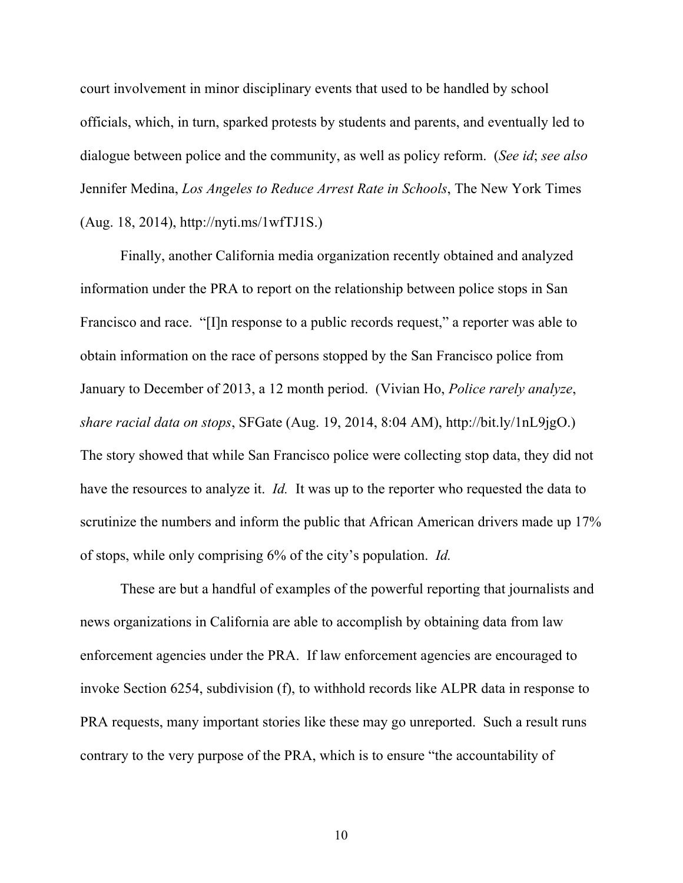court involvement in minor disciplinary events that used to be handled by school officials, which, in turn, sparked protests by students and parents, and eventually led to dialogue between police and the community, as well as policy reform. (*See id*; *see also*  Jennifer Medina, *Los Angeles to Reduce Arrest Rate in Schools*, The New York Times (Aug. 18, 2014), http://nyti.ms/1wfTJ1S.)

Finally, another California media organization recently obtained and analyzed information under the PRA to report on the relationship between police stops in San Francisco and race. "[I]n response to a public records request," a reporter was able to obtain information on the race of persons stopped by the San Francisco police from January to December of 2013, a 12 month period. (Vivian Ho, *Police rarely analyze*, *share racial data on stops*, SFGate (Aug. 19, 2014, 8:04 AM), http://bit.ly/1nL9jgO.) The story showed that while San Francisco police were collecting stop data, they did not have the resources to analyze it. *Id.* It was up to the reporter who requested the data to scrutinize the numbers and inform the public that African American drivers made up 17% of stops, while only comprising 6% of the city's population. *Id.*

These are but a handful of examples of the powerful reporting that journalists and news organizations in California are able to accomplish by obtaining data from law enforcement agencies under the PRA. If law enforcement agencies are encouraged to invoke Section 6254, subdivision (f), to withhold records like ALPR data in response to PRA requests, many important stories like these may go unreported. Such a result runs contrary to the very purpose of the PRA, which is to ensure "the accountability of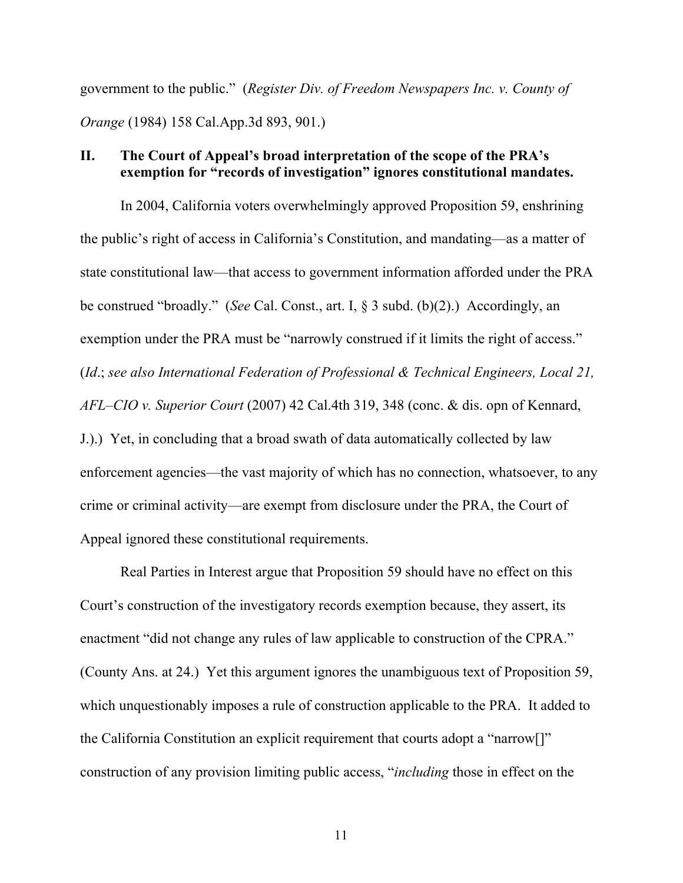government to the public." (*Register Div. of Freedom Newspapers Inc. v. County of Orange* (1984) 158 Cal.App.3d 893, 901.)

### **II. The Court of Appeal's broad interpretation of the scope of the PRA's exemption for "records of investigation" ignores constitutional mandates.**

In 2004, California voters overwhelmingly approved Proposition 59, enshrining the public's right of access in California's Constitution, and mandating—as a matter of state constitutional law—that access to government information afforded under the PRA be construed "broadly." (*See* Cal. Const., art. I, § 3 subd. (b)(2).) Accordingly, an exemption under the PRA must be "narrowly construed if it limits the right of access." (*Id*.; *see also International Federation of Professional & Technical Engineers, Local 21, AFL–CIO v. Superior Court* (2007) 42 Cal.4th 319, 348 (conc. & dis. opn of Kennard,

J.).) Yet, in concluding that a broad swath of data automatically collected by law enforcement agencies—the vast majority of which has no connection, whatsoever, to any crime or criminal activity—are exempt from disclosure under the PRA, the Court of Appeal ignored these constitutional requirements.

Real Parties in Interest argue that Proposition 59 should have no effect on this Court's construction of the investigatory records exemption because, they assert, its enactment "did not change any rules of law applicable to construction of the CPRA." (County Ans. at 24.) Yet this argument ignores the unambiguous text of Proposition 59, which unquestionably imposes a rule of construction applicable to the PRA. It added to the California Constitution an explicit requirement that courts adopt a "narrow[]" construction of any provision limiting public access, "*including* those in effect on the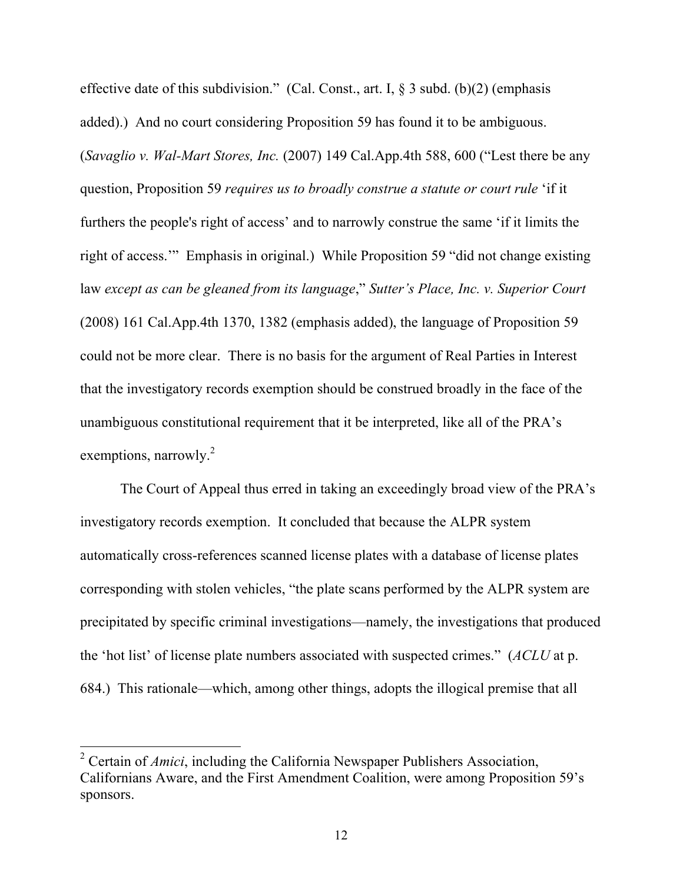effective date of this subdivision." (Cal. Const., art. I,  $\S$  3 subd. (b)(2) (emphasis added).) And no court considering Proposition 59 has found it to be ambiguous. (*Savaglio v. Wal-Mart Stores, Inc.* (2007) 149 Cal.App.4th 588, 600 ("Lest there be any question, Proposition 59 *requires us to broadly construe a statute or court rule* 'if it furthers the people's right of access' and to narrowly construe the same 'if it limits the right of access.'" Emphasis in original.) While Proposition 59 "did not change existing law *except as can be gleaned from its language*," *Sutter's Place, Inc. v. Superior Court*  (2008) 161 Cal.App.4th 1370, 1382 (emphasis added), the language of Proposition 59 could not be more clear. There is no basis for the argument of Real Parties in Interest that the investigatory records exemption should be construed broadly in the face of the unambiguous constitutional requirement that it be interpreted, like all of the PRA's exemptions, narrowly.<sup>2</sup>

The Court of Appeal thus erred in taking an exceedingly broad view of the PRA's investigatory records exemption. It concluded that because the ALPR system automatically cross-references scanned license plates with a database of license plates corresponding with stolen vehicles, "the plate scans performed by the ALPR system are precipitated by specific criminal investigations—namely, the investigations that produced the 'hot list' of license plate numbers associated with suspected crimes." (*ACLU* at p. 684.) This rationale—which, among other things, adopts the illogical premise that all

 <sup>2</sup> Certain of *Amici*, including the California Newspaper Publishers Association, Californians Aware, and the First Amendment Coalition, were among Proposition 59's sponsors.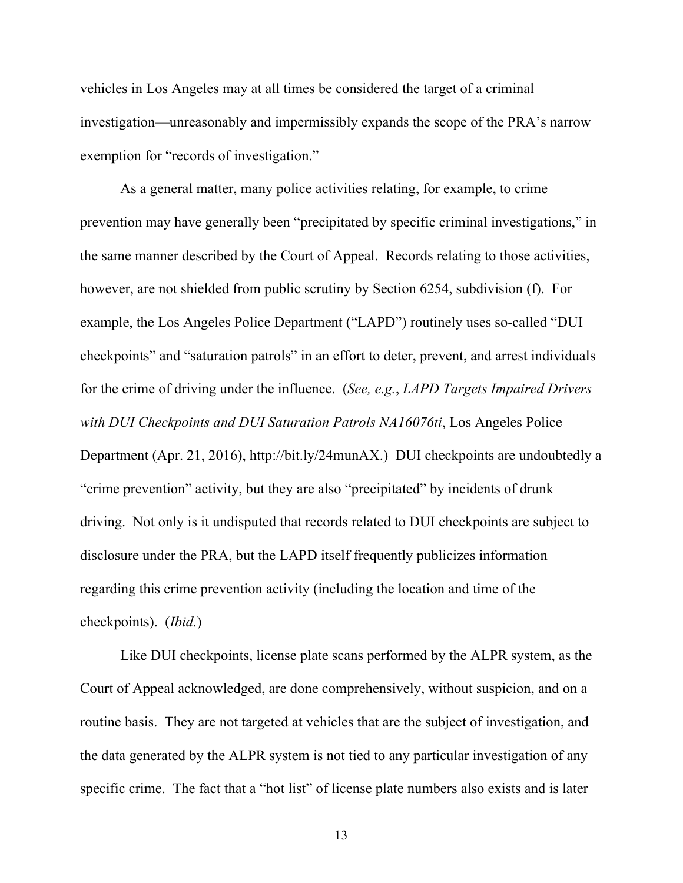vehicles in Los Angeles may at all times be considered the target of a criminal investigation—unreasonably and impermissibly expands the scope of the PRA's narrow exemption for "records of investigation."

As a general matter, many police activities relating, for example, to crime prevention may have generally been "precipitated by specific criminal investigations," in the same manner described by the Court of Appeal. Records relating to those activities, however, are not shielded from public scrutiny by Section 6254, subdivision (f). For example, the Los Angeles Police Department ("LAPD") routinely uses so-called "DUI checkpoints" and "saturation patrols" in an effort to deter, prevent, and arrest individuals for the crime of driving under the influence. (*See, e.g.*, *LAPD Targets Impaired Drivers with DUI Checkpoints and DUI Saturation Patrols NA16076ti*, Los Angeles Police Department (Apr. 21, 2016), http://bit.ly/24munAX.) DUI checkpoints are undoubtedly a "crime prevention" activity, but they are also "precipitated" by incidents of drunk driving. Not only is it undisputed that records related to DUI checkpoints are subject to disclosure under the PRA, but the LAPD itself frequently publicizes information regarding this crime prevention activity (including the location and time of the checkpoints). (*Ibid.*)

Like DUI checkpoints, license plate scans performed by the ALPR system, as the Court of Appeal acknowledged, are done comprehensively, without suspicion, and on a routine basis. They are not targeted at vehicles that are the subject of investigation, and the data generated by the ALPR system is not tied to any particular investigation of any specific crime. The fact that a "hot list" of license plate numbers also exists and is later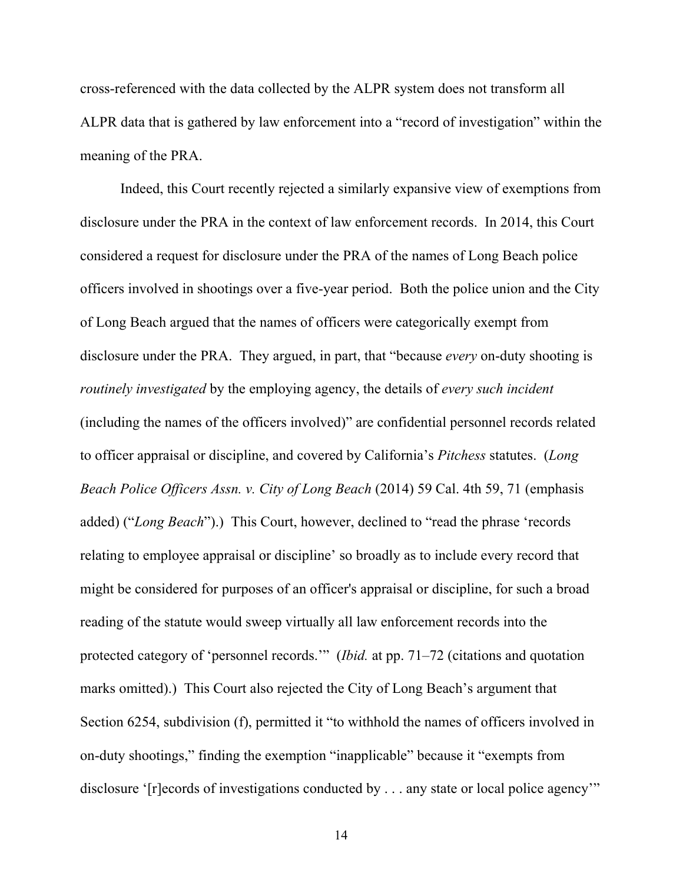cross-referenced with the data collected by the ALPR system does not transform all ALPR data that is gathered by law enforcement into a "record of investigation" within the meaning of the PRA.

Indeed, this Court recently rejected a similarly expansive view of exemptions from disclosure under the PRA in the context of law enforcement records. In 2014, this Court considered a request for disclosure under the PRA of the names of Long Beach police officers involved in shootings over a five-year period. Both the police union and the City of Long Beach argued that the names of officers were categorically exempt from disclosure under the PRA. They argued, in part, that "because *every* on-duty shooting is *routinely investigated* by the employing agency, the details of *every such incident* (including the names of the officers involved)" are confidential personnel records related to officer appraisal or discipline, and covered by California's *Pitchess* statutes. (*Long Beach Police Officers Assn. v. City of Long Beach* (2014) 59 Cal. 4th 59, 71 (emphasis added) ("*Long Beach*").) This Court, however, declined to "read the phrase 'records relating to employee appraisal or discipline' so broadly as to include every record that might be considered for purposes of an officer's appraisal or discipline, for such a broad reading of the statute would sweep virtually all law enforcement records into the protected category of 'personnel records.'" (*Ibid.* at pp. 71–72 (citations and quotation marks omitted).) This Court also rejected the City of Long Beach's argument that Section 6254, subdivision (f), permitted it "to withhold the names of officers involved in on-duty shootings," finding the exemption "inapplicable" because it "exempts from disclosure '[r]ecords of investigations conducted by . . . any state or local police agency'"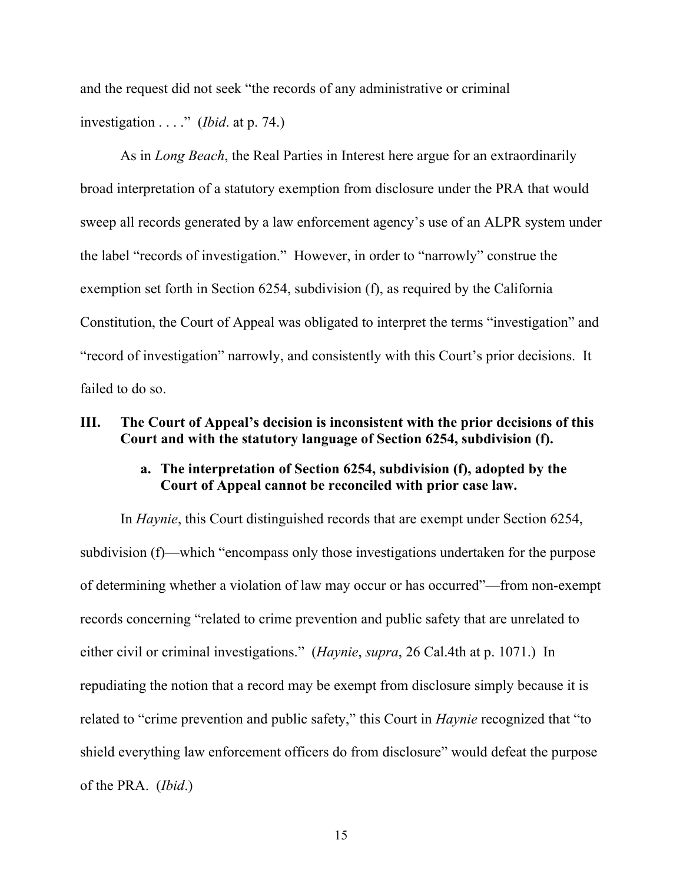and the request did not seek "the records of any administrative or criminal investigation . . . ." (*Ibid*. at p. 74.)

As in *Long Beach*, the Real Parties in Interest here argue for an extraordinarily broad interpretation of a statutory exemption from disclosure under the PRA that would sweep all records generated by a law enforcement agency's use of an ALPR system under the label "records of investigation." However, in order to "narrowly" construe the exemption set forth in Section 6254, subdivision (f), as required by the California Constitution, the Court of Appeal was obligated to interpret the terms "investigation" and "record of investigation" narrowly, and consistently with this Court's prior decisions. It failed to do so.

### **III. The Court of Appeal's decision is inconsistent with the prior decisions of this Court and with the statutory language of Section 6254, subdivision (f).**

## **a. The interpretation of Section 6254, subdivision (f), adopted by the Court of Appeal cannot be reconciled with prior case law.**

In *Haynie*, this Court distinguished records that are exempt under Section 6254, subdivision (f)—which "encompass only those investigations undertaken for the purpose of determining whether a violation of law may occur or has occurred"—from non-exempt records concerning "related to crime prevention and public safety that are unrelated to either civil or criminal investigations." (*Haynie*, *supra*, 26 Cal.4th at p. 1071.) In repudiating the notion that a record may be exempt from disclosure simply because it is related to "crime prevention and public safety," this Court in *Haynie* recognized that "to shield everything law enforcement officers do from disclosure" would defeat the purpose of the PRA. (*Ibid*.)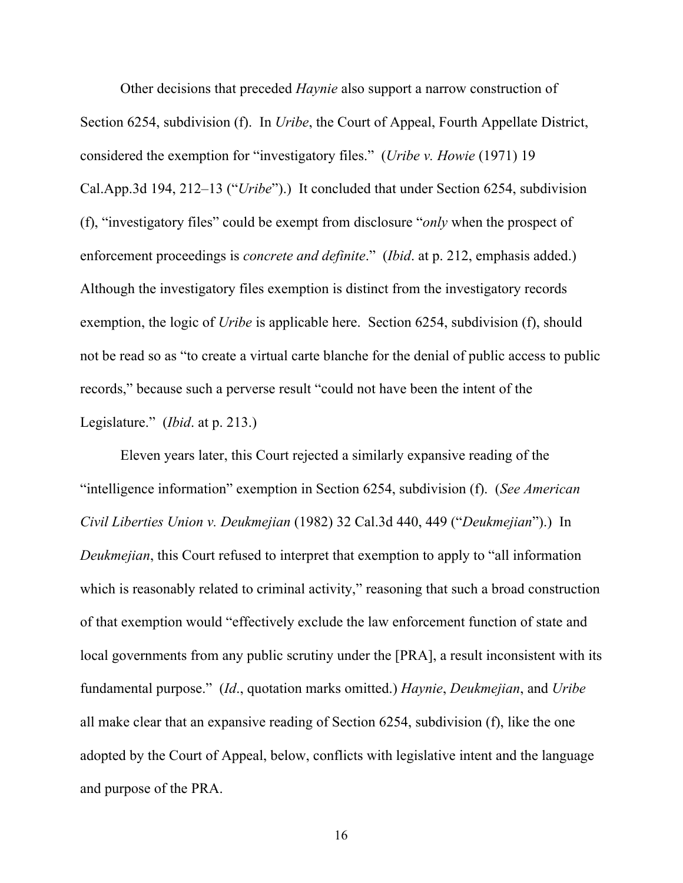Other decisions that preceded *Haynie* also support a narrow construction of Section 6254, subdivision (f). In *Uribe*, the Court of Appeal, Fourth Appellate District, considered the exemption for "investigatory files." (*Uribe v. Howie* (1971) 19 Cal.App.3d 194, 212–13 ("*Uribe*").) It concluded that under Section 6254, subdivision (f), "investigatory files" could be exempt from disclosure "*only* when the prospect of enforcement proceedings is *concrete and definite*." (*Ibid*. at p. 212, emphasis added.) Although the investigatory files exemption is distinct from the investigatory records exemption, the logic of *Uribe* is applicable here. Section 6254, subdivision (f), should not be read so as "to create a virtual carte blanche for the denial of public access to public records," because such a perverse result "could not have been the intent of the Legislature." (*Ibid*. at p. 213.)

Eleven years later, this Court rejected a similarly expansive reading of the "intelligence information" exemption in Section 6254, subdivision (f). (*See American Civil Liberties Union v. Deukmejian* (1982) 32 Cal.3d 440, 449 ("*Deukmejian*").) In *Deukmejian*, this Court refused to interpret that exemption to apply to "all information which is reasonably related to criminal activity," reasoning that such a broad construction of that exemption would "effectively exclude the law enforcement function of state and local governments from any public scrutiny under the [PRA], a result inconsistent with its fundamental purpose." (*Id*., quotation marks omitted.) *Haynie*, *Deukmejian*, and *Uribe* all make clear that an expansive reading of Section 6254, subdivision (f), like the one adopted by the Court of Appeal, below, conflicts with legislative intent and the language and purpose of the PRA.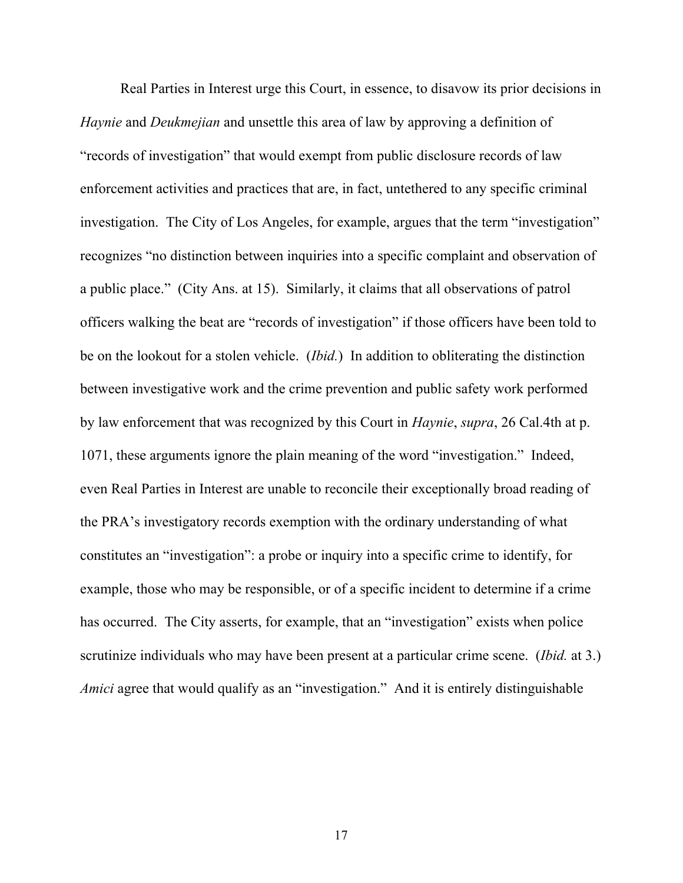Real Parties in Interest urge this Court, in essence, to disavow its prior decisions in *Haynie* and *Deukmejian* and unsettle this area of law by approving a definition of "records of investigation" that would exempt from public disclosure records of law enforcement activities and practices that are, in fact, untethered to any specific criminal investigation. The City of Los Angeles, for example, argues that the term "investigation" recognizes "no distinction between inquiries into a specific complaint and observation of a public place." (City Ans. at 15). Similarly, it claims that all observations of patrol officers walking the beat are "records of investigation" if those officers have been told to be on the lookout for a stolen vehicle. (*Ibid.*) In addition to obliterating the distinction between investigative work and the crime prevention and public safety work performed by law enforcement that was recognized by this Court in *Haynie*, *supra*, 26 Cal.4th at p. 1071, these arguments ignore the plain meaning of the word "investigation." Indeed, even Real Parties in Interest are unable to reconcile their exceptionally broad reading of the PRA's investigatory records exemption with the ordinary understanding of what constitutes an "investigation": a probe or inquiry into a specific crime to identify, for example, those who may be responsible, or of a specific incident to determine if a crime has occurred. The City asserts, for example, that an "investigation" exists when police scrutinize individuals who may have been present at a particular crime scene. (*Ibid.* at 3.) *Amici* agree that would qualify as an "investigation." And it is entirely distinguishable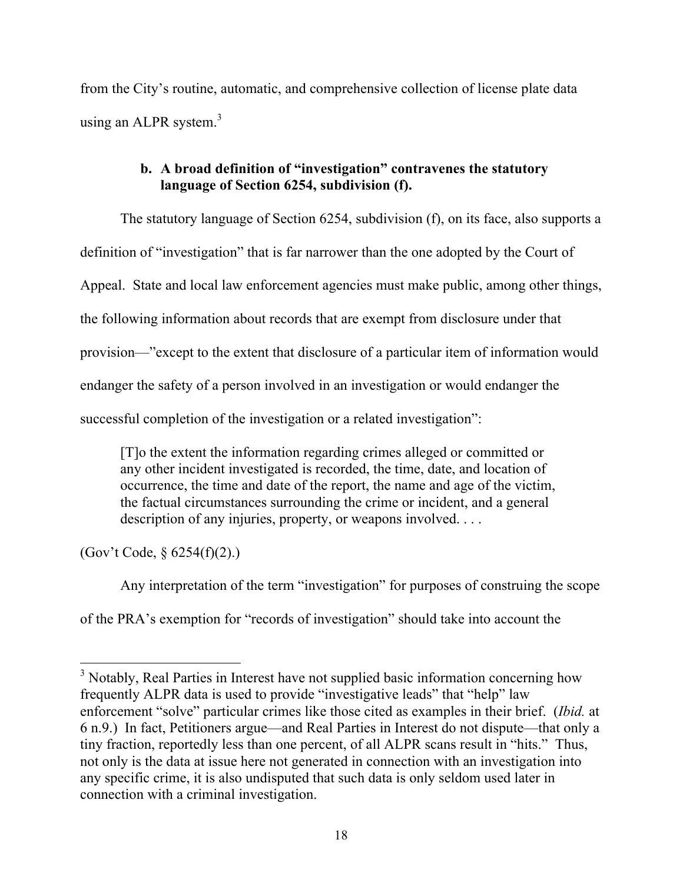from the City's routine, automatic, and comprehensive collection of license plate data using an ALPR system. $3$ 

# **b. A broad definition of "investigation" contravenes the statutory language of Section 6254, subdivision (f).**

The statutory language of Section 6254, subdivision (f), on its face, also supports a definition of "investigation" that is far narrower than the one adopted by the Court of Appeal. State and local law enforcement agencies must make public, among other things, the following information about records that are exempt from disclosure under that provision—"except to the extent that disclosure of a particular item of information would endanger the safety of a person involved in an investigation or would endanger the successful completion of the investigation or a related investigation":

[T]o the extent the information regarding crimes alleged or committed or any other incident investigated is recorded, the time, date, and location of occurrence, the time and date of the report, the name and age of the victim, the factual circumstances surrounding the crime or incident, and a general description of any injuries, property, or weapons involved. . . .

(Gov't Code, § 6254(f)(2).)

Any interpretation of the term "investigation" for purposes of construing the scope

of the PRA's exemption for "records of investigation" should take into account the

<sup>&</sup>lt;sup>3</sup> Notably, Real Parties in Interest have not supplied basic information concerning how frequently ALPR data is used to provide "investigative leads" that "help" law enforcement "solve" particular crimes like those cited as examples in their brief. (*Ibid.* at 6 n.9.) In fact, Petitioners argue—and Real Parties in Interest do not dispute—that only a tiny fraction, reportedly less than one percent, of all ALPR scans result in "hits." Thus, not only is the data at issue here not generated in connection with an investigation into any specific crime, it is also undisputed that such data is only seldom used later in connection with a criminal investigation.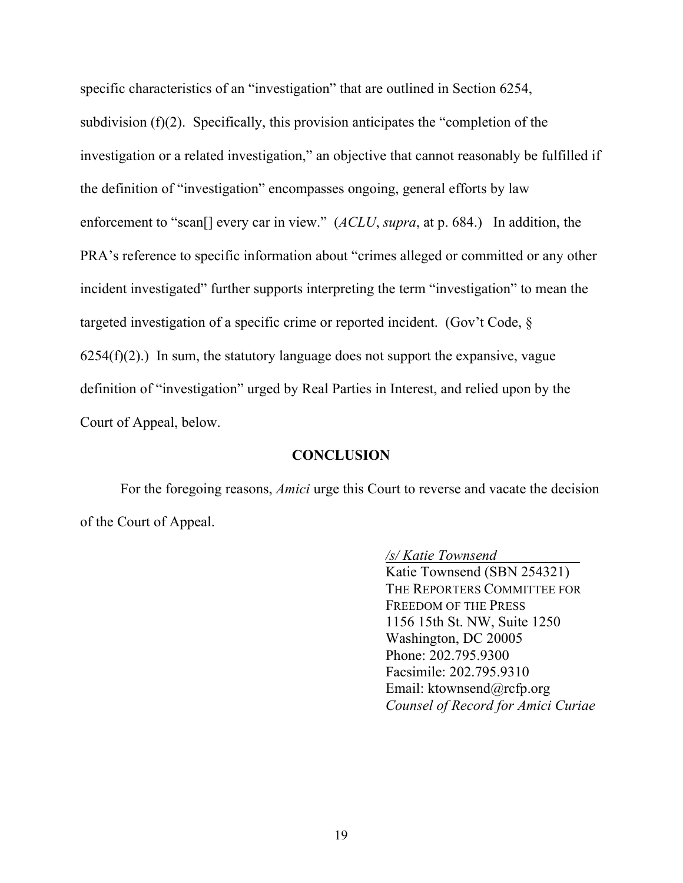specific characteristics of an "investigation" that are outlined in Section 6254, subdivision (f)(2). Specifically, this provision anticipates the "completion of the investigation or a related investigation," an objective that cannot reasonably be fulfilled if the definition of "investigation" encompasses ongoing, general efforts by law enforcement to "scan<sup>[]</sup> every car in view." (*ACLU*, *supra*, at p. 684.) In addition, the PRA's reference to specific information about "crimes alleged or committed or any other incident investigated" further supports interpreting the term "investigation" to mean the targeted investigation of a specific crime or reported incident. (Gov't Code, §  $6254(f)(2)$ .) In sum, the statutory language does not support the expansive, vague definition of "investigation" urged by Real Parties in Interest, and relied upon by the Court of Appeal, below.

### **CONCLUSION**

For the foregoing reasons, *Amici* urge this Court to reverse and vacate the decision of the Court of Appeal.

> */s/ Katie Townsend* Katie Townsend (SBN 254321) THE REPORTERS COMMITTEE FOR FREEDOM OF THE PRESS 1156 15th St. NW, Suite 1250 Washington, DC 20005 Phone: 202.795.9300 Facsimile: 202.795.9310 Email: ktownsend@rcfp.org *Counsel of Record for Amici Curiae*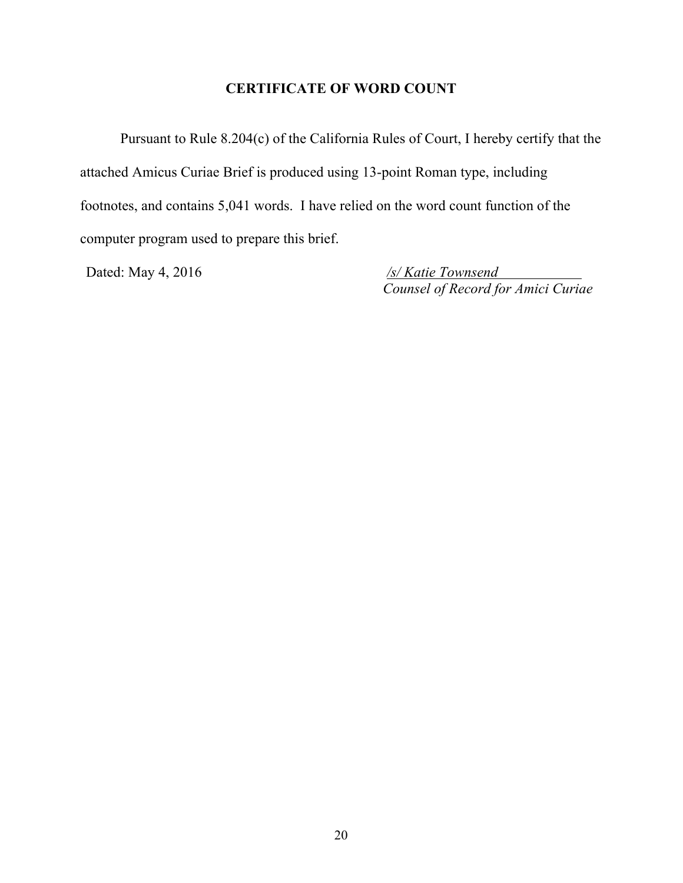# **CERTIFICATE OF WORD COUNT**

Pursuant to Rule 8.204(c) of the California Rules of Court, I hereby certify that the attached Amicus Curiae Brief is produced using 13-point Roman type, including footnotes, and contains 5,041 words. I have relied on the word count function of the computer program used to prepare this brief.

Dated: May 4, 2016 */s/ Katie Townsend Counsel of Record for Amici Curiae*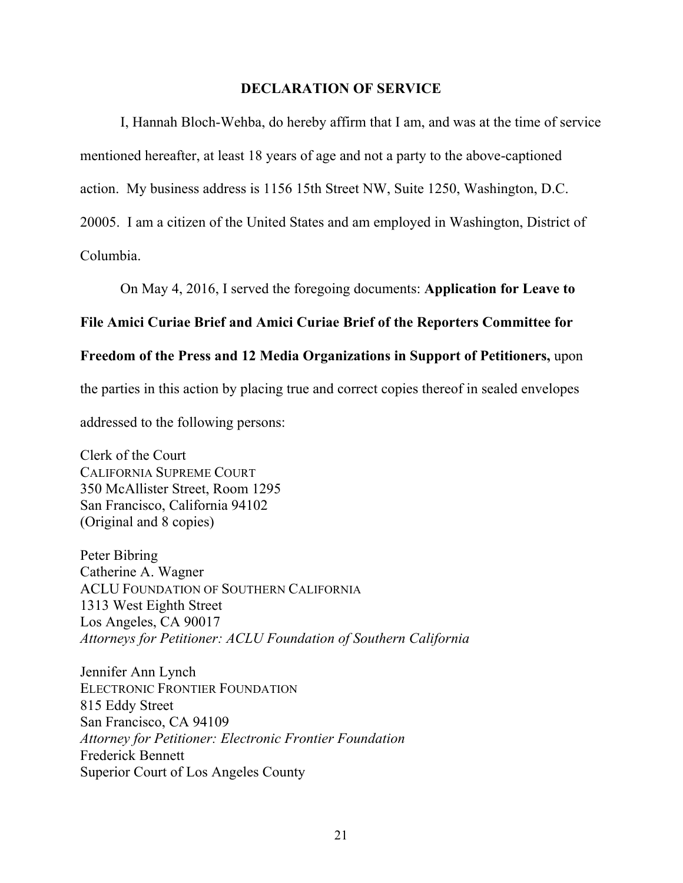### **DECLARATION OF SERVICE**

I, Hannah Bloch-Wehba, do hereby affirm that I am, and was at the time of service mentioned hereafter, at least 18 years of age and not a party to the above-captioned action. My business address is 1156 15th Street NW, Suite 1250, Washington, D.C. 20005. I am a citizen of the United States and am employed in Washington, District of Columbia.

On May 4, 2016, I served the foregoing documents: **Application for Leave to** 

### **File Amici Curiae Brief and Amici Curiae Brief of the Reporters Committee for**

## **Freedom of the Press and 12 Media Organizations in Support of Petitioners,** upon

the parties in this action by placing true and correct copies thereof in sealed envelopes

addressed to the following persons:

Clerk of the Court CALIFORNIA SUPREME COURT 350 McAllister Street, Room 1295 San Francisco, California 94102 (Original and 8 copies)

Peter Bibring Catherine A. Wagner ACLU FOUNDATION OF SOUTHERN CALIFORNIA 1313 West Eighth Street Los Angeles, CA 90017 *Attorneys for Petitioner: ACLU Foundation of Southern California*

Jennifer Ann Lynch ELECTRONIC FRONTIER FOUNDATION 815 Eddy Street San Francisco, CA 94109 *Attorney for Petitioner: Electronic Frontier Foundation* Frederick Bennett Superior Court of Los Angeles County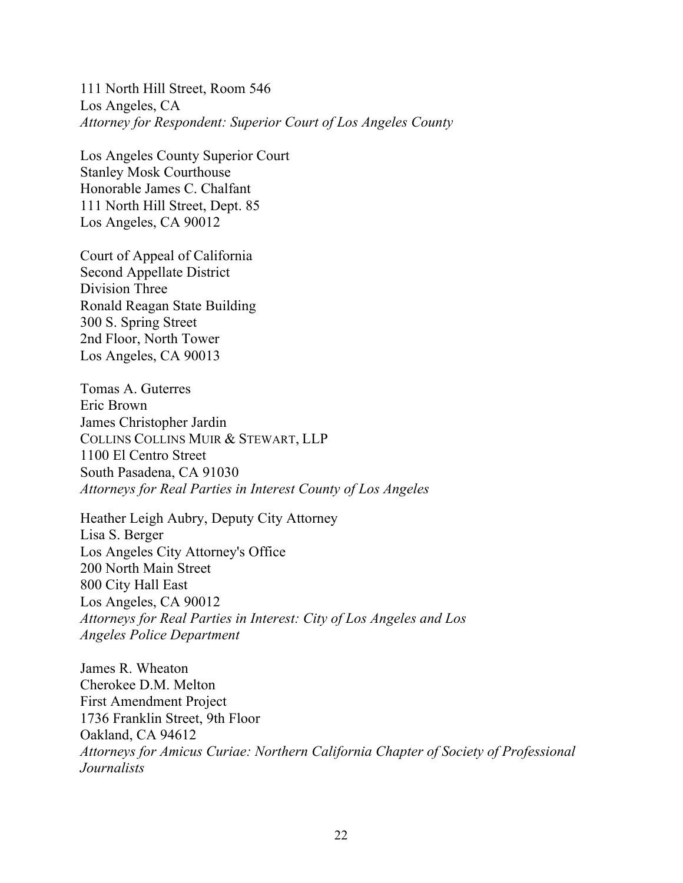111 North Hill Street, Room 546 Los Angeles, CA *Attorney for Respondent: Superior Court of Los Angeles County*

Los Angeles County Superior Court Stanley Mosk Courthouse Honorable James C. Chalfant 111 North Hill Street, Dept. 85 Los Angeles, CA 90012

Court of Appeal of California Second Appellate District Division Three Ronald Reagan State Building 300 S. Spring Street 2nd Floor, North Tower Los Angeles, CA 90013

Tomas A. Guterres Eric Brown James Christopher Jardin COLLINS COLLINS MUIR & STEWART, LLP 1100 El Centro Street South Pasadena, CA 91030 *Attorneys for Real Parties in Interest County of Los Angeles*

Heather Leigh Aubry, Deputy City Attorney Lisa S. Berger Los Angeles City Attorney's Office 200 North Main Street 800 City Hall East Los Angeles, CA 90012 *Attorneys for Real Parties in Interest: City of Los Angeles and Los Angeles Police Department*

James R. Wheaton Cherokee D.M. Melton First Amendment Project 1736 Franklin Street, 9th Floor Oakland, CA 94612 *Attorneys for Amicus Curiae: Northern California Chapter of Society of Professional Journalists*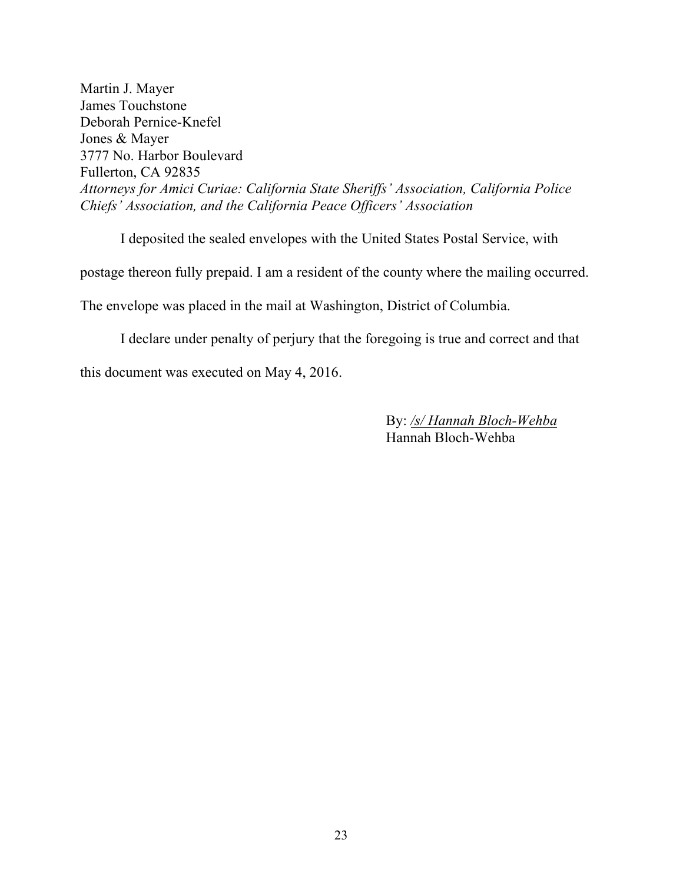Martin J. Mayer James Touchstone Deborah Pernice-Knefel Jones & Mayer 3777 No. Harbor Boulevard Fullerton, CA 92835 *Attorneys for Amici Curiae: California State Sheriffs' Association, California Police Chiefs' Association, and the California Peace Officers' Association*

I deposited the sealed envelopes with the United States Postal Service, with postage thereon fully prepaid. I am a resident of the county where the mailing occurred. The envelope was placed in the mail at Washington, District of Columbia.

I declare under penalty of perjury that the foregoing is true and correct and that this document was executed on May 4, 2016.

> By: */s/ Hannah Bloch-Wehba* Hannah Bloch-Wehba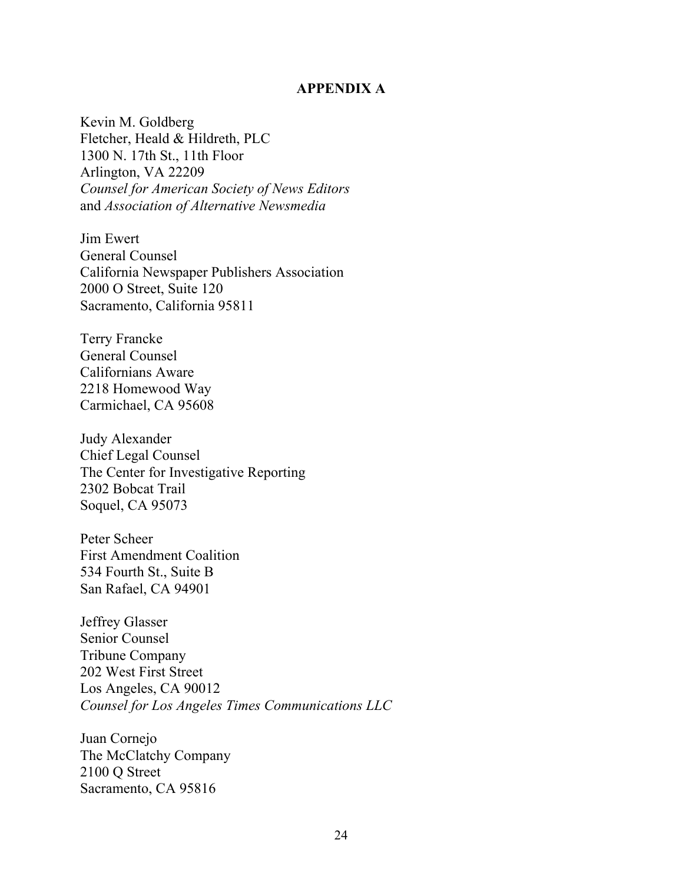#### **APPENDIX A**

Kevin M. Goldberg Fletcher, Heald & Hildreth, PLC 1300 N. 17th St., 11th Floor Arlington, VA 22209 *Counsel for American Society of News Editors* and *Association of Alternative Newsmedia*

Jim Ewert General Counsel California Newspaper Publishers Association 2000 O Street, Suite 120 Sacramento, California 95811

Terry Francke General Counsel Californians Aware 2218 Homewood Way Carmichael, CA 95608

Judy Alexander Chief Legal Counsel The Center for Investigative Reporting 2302 Bobcat Trail Soquel, CA 95073

Peter Scheer First Amendment Coalition 534 Fourth St., Suite B San Rafael, CA 94901

Jeffrey Glasser Senior Counsel Tribune Company 202 West First Street Los Angeles, CA 90012 *Counsel for Los Angeles Times Communications LLC*

Juan Cornejo The McClatchy Company 2100 Q Street Sacramento, CA 95816